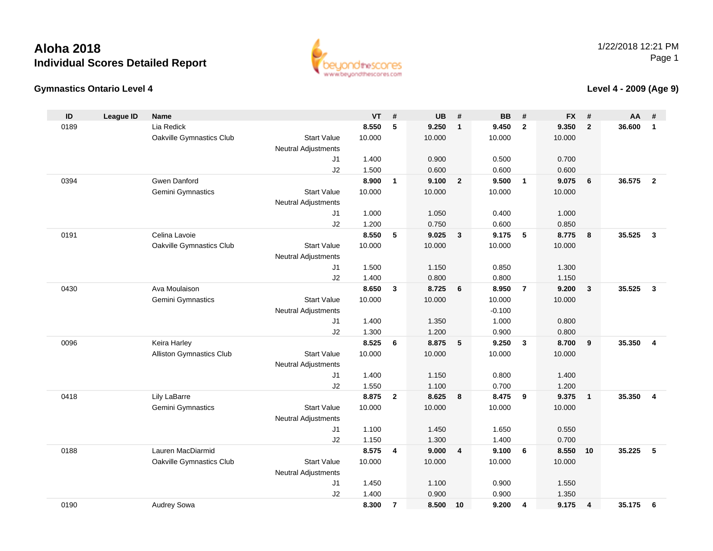

#### **Gymnastics Ontario Level 4**

#### **Level 4 - 2009 (Age 9)**

| ID   | <b>League ID</b> | <b>Name</b>              |                                              | <b>VT</b> | #              | <b>UB</b> | #                       | <b>BB</b> | #              | <b>FX</b> | #              | AA     | #                       |
|------|------------------|--------------------------|----------------------------------------------|-----------|----------------|-----------|-------------------------|-----------|----------------|-----------|----------------|--------|-------------------------|
| 0189 |                  | Lia Redick               |                                              | 8.550     | 5              | 9.250     | $\overline{1}$          | 9.450     | $\overline{2}$ | 9.350     | $\overline{2}$ | 36.600 | $\mathbf{1}$            |
|      |                  | Oakville Gymnastics Club | <b>Start Value</b>                           | 10.000    |                | 10.000    |                         | 10.000    |                | 10.000    |                |        |                         |
|      |                  |                          | <b>Neutral Adjustments</b>                   |           |                |           |                         |           |                |           |                |        |                         |
|      |                  |                          | J1                                           | 1.400     |                | 0.900     |                         | 0.500     |                | 0.700     |                |        |                         |
|      |                  |                          | J2                                           | 1.500     |                | 0.600     |                         | 0.600     |                | 0.600     |                |        |                         |
| 0394 |                  | Gwen Danford             |                                              | 8.900     | $\mathbf{1}$   | 9.100     | $\overline{2}$          | 9.500     | $\overline{1}$ | 9.075     | 6              | 36.575 | $\overline{2}$          |
|      |                  | Gemini Gymnastics        | <b>Start Value</b>                           | 10.000    |                | 10.000    |                         | 10.000    |                | 10.000    |                |        |                         |
|      |                  |                          | <b>Neutral Adjustments</b>                   |           |                |           |                         |           |                |           |                |        |                         |
|      |                  |                          | J <sub>1</sub>                               | 1.000     |                | 1.050     |                         | 0.400     |                | 1.000     |                |        |                         |
|      |                  |                          | J2                                           | 1.200     |                | 0.750     |                         | 0.600     |                | 0.850     |                |        |                         |
| 0191 |                  | Celina Lavoie            |                                              | 8.550     | 5              | 9.025     | $\overline{\mathbf{3}}$ | 9.175     | 5              | 8.775     | 8              | 35.525 | $\mathbf{3}$            |
|      |                  | Oakville Gymnastics Club | <b>Start Value</b>                           | 10.000    |                | 10.000    |                         | 10.000    |                | 10.000    |                |        |                         |
|      |                  |                          | <b>Neutral Adjustments</b><br>J <sub>1</sub> | 1.500     |                | 1.150     |                         | 0.850     |                | 1.300     |                |        |                         |
|      |                  |                          | J2                                           | 1.400     |                | 0.800     |                         | 0.800     |                | 1.150     |                |        |                         |
| 0430 |                  | Ava Moulaison            |                                              | 8.650     | $\mathbf{3}$   | 8.725     | 6                       | 8.950     | $\overline{7}$ | 9.200     | $\mathbf{3}$   | 35.525 | $\mathbf{3}$            |
|      |                  | Gemini Gymnastics        | <b>Start Value</b>                           | 10.000    |                | 10.000    |                         | 10.000    |                | 10.000    |                |        |                         |
|      |                  |                          | <b>Neutral Adjustments</b>                   |           |                |           |                         | $-0.100$  |                |           |                |        |                         |
|      |                  |                          | J <sub>1</sub>                               | 1.400     |                | 1.350     |                         | 1.000     |                | 0.800     |                |        |                         |
|      |                  |                          | J2                                           | 1.300     |                | 1.200     |                         | 0.900     |                | 0.800     |                |        |                         |
| 0096 |                  | Keira Harley             |                                              | 8.525     | 6              | 8.875     | 5                       | 9.250     | $\mathbf{3}$   | 8.700     | 9              | 35.350 | 4                       |
|      |                  | Alliston Gymnastics Club | <b>Start Value</b>                           | 10.000    |                | 10.000    |                         | 10.000    |                | 10.000    |                |        |                         |
|      |                  |                          | <b>Neutral Adjustments</b>                   |           |                |           |                         |           |                |           |                |        |                         |
|      |                  |                          | J <sub>1</sub>                               | 1.400     |                | 1.150     |                         | 0.800     |                | 1.400     |                |        |                         |
|      |                  |                          | J2                                           | 1.550     |                | 1.100     |                         | 0.700     |                | 1.200     |                |        |                         |
| 0418 |                  | Lily LaBarre             |                                              | 8.875     | $\mathbf{2}$   | 8.625     | 8                       | 8.475     | 9              | 9.375     | $\overline{1}$ | 35.350 | $\overline{\mathbf{4}}$ |
|      |                  | Gemini Gymnastics        | <b>Start Value</b>                           | 10.000    |                | 10.000    |                         | 10.000    |                | 10.000    |                |        |                         |
|      |                  |                          | <b>Neutral Adjustments</b>                   |           |                |           |                         |           |                |           |                |        |                         |
|      |                  |                          | J <sub>1</sub>                               | 1.100     |                | 1.450     |                         | 1.650     |                | 0.550     |                |        |                         |
|      |                  |                          | J2                                           | 1.150     |                | 1.300     |                         | 1.400     |                | 0.700     |                |        |                         |
| 0188 |                  | Lauren MacDiarmid        |                                              | 8.575     | 4              | 9.000     | $\overline{4}$          | 9.100     | 6              | 8.550     | 10             | 35.225 | 5                       |
|      |                  | Oakville Gymnastics Club | <b>Start Value</b>                           | 10.000    |                | 10.000    |                         | 10.000    |                | 10.000    |                |        |                         |
|      |                  |                          | <b>Neutral Adjustments</b>                   |           |                |           |                         |           |                |           |                |        |                         |
|      |                  |                          | J <sub>1</sub>                               | 1.450     |                | 1.100     |                         | 0.900     |                | 1.550     |                |        |                         |
|      |                  |                          | J2                                           | 1.400     |                | 0.900     |                         | 0.900     |                | 1.350     |                |        |                         |
| 0190 |                  | Audrey Sowa              |                                              | 8.300     | $\overline{7}$ | 8.500     | 10                      | 9.200     | $\overline{4}$ | 9.175     | $\overline{4}$ | 35.175 | 6                       |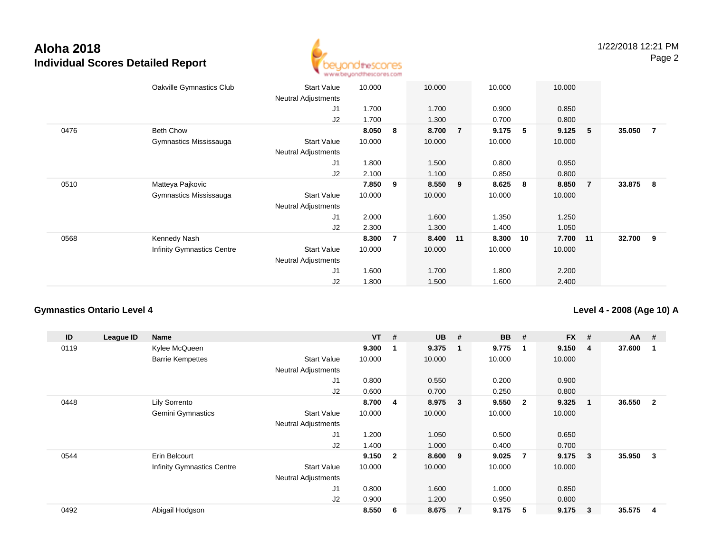

|      | Oakville Gymnastics Club          | <b>Start Value</b><br><b>Neutral Adjustments</b> | 10.000 |                | 10.000   |                | 10.000 |    | 10.000 |                |        |                |
|------|-----------------------------------|--------------------------------------------------|--------|----------------|----------|----------------|--------|----|--------|----------------|--------|----------------|
|      |                                   | J1                                               | 1.700  |                | 1.700    |                | 0.900  |    | 0.850  |                |        |                |
|      |                                   | J2                                               | 1.700  |                | 1.300    |                | 0.700  |    | 0.800  |                |        |                |
| 0476 | <b>Beth Chow</b>                  |                                                  | 8.050  | 8              | 8.700    | $\overline{7}$ | 9.175  | 5  | 9.125  | 5              | 35.050 | $\overline{7}$ |
|      | Gymnastics Mississauga            | <b>Start Value</b>                               | 10.000 |                | 10.000   |                | 10.000 |    | 10.000 |                |        |                |
|      |                                   | Neutral Adjustments                              |        |                |          |                |        |    |        |                |        |                |
|      |                                   | J1                                               | 1.800  |                | 1.500    |                | 0.800  |    | 0.950  |                |        |                |
|      |                                   | J2                                               | 2.100  |                | 1.100    |                | 0.850  |    | 0.800  |                |        |                |
| 0510 | Matteya Pajkovic                  |                                                  | 7.850  | 9              | 8.550 9  |                | 8.625  | 8  | 8.850  | $\overline{7}$ | 33.875 | 8              |
|      | Gymnastics Mississauga            | <b>Start Value</b>                               | 10.000 |                | 10.000   |                | 10.000 |    | 10.000 |                |        |                |
|      |                                   | Neutral Adjustments                              |        |                |          |                |        |    |        |                |        |                |
|      |                                   | J1                                               | 2.000  |                | 1.600    |                | 1.350  |    | 1.250  |                |        |                |
|      |                                   | J2                                               | 2.300  |                | 1.300    |                | 1.400  |    | 1.050  |                |        |                |
| 0568 | Kennedy Nash                      |                                                  | 8.300  | $\overline{7}$ | 8.400 11 |                | 8.300  | 10 | 7.700  | 11             | 32.700 | - 9            |
|      | <b>Infinity Gymnastics Centre</b> | <b>Start Value</b>                               | 10.000 |                | 10.000   |                | 10.000 |    | 10.000 |                |        |                |
|      |                                   | <b>Neutral Adjustments</b>                       |        |                |          |                |        |    |        |                |        |                |
|      |                                   | J <sub>1</sub>                                   | 1.600  |                | 1.700    |                | 1.800  |    | 2.200  |                |        |                |
|      |                                   | J2                                               | 1.800  |                | 1.500    |                | 1.600  |    | 2.400  |                |        |                |

#### **Gymnastics Ontario Level 4**

**Level 4 - 2008 (Age 10) A**

| ID   | League ID | <b>Name</b>                       |                            | $VT$ # |                         | <b>UB</b> | #                       | <b>BB</b> | #            | <b>FX</b> | # | $AA$ # |                |
|------|-----------|-----------------------------------|----------------------------|--------|-------------------------|-----------|-------------------------|-----------|--------------|-----------|---|--------|----------------|
| 0119 |           | Kylee McQueen                     |                            | 9.300  |                         | 9.375     | -1                      | 9.775     | $\mathbf 1$  | 9.150     | 4 | 37.600 |                |
|      |           | <b>Barrie Kempettes</b>           | <b>Start Value</b>         | 10.000 |                         | 10.000    |                         | 10.000    |              | 10.000    |   |        |                |
|      |           |                                   | <b>Neutral Adjustments</b> |        |                         |           |                         |           |              |           |   |        |                |
|      |           |                                   | J <sub>1</sub>             | 0.800  |                         | 0.550     |                         | 0.200     |              | 0.900     |   |        |                |
|      |           |                                   | J2                         | 0.600  |                         | 0.700     |                         | 0.250     |              | 0.800     |   |        |                |
| 0448 |           | Lily Sorrento                     |                            | 8.700  | 4                       | 8.975     | $\overline{\mathbf{3}}$ | 9.550     | $\mathbf{2}$ | 9.325     | 1 | 36.550 | $\overline{2}$ |
|      |           | <b>Gemini Gymnastics</b>          | <b>Start Value</b>         | 10.000 |                         | 10.000    |                         | 10.000    |              | 10.000    |   |        |                |
|      |           |                                   | <b>Neutral Adjustments</b> |        |                         |           |                         |           |              |           |   |        |                |
|      |           |                                   | J1                         | 1.200  |                         | 1.050     |                         | 0.500     |              | 0.650     |   |        |                |
|      |           |                                   | J2                         | 1.400  |                         | 1.000     |                         | 0.400     |              | 0.700     |   |        |                |
| 0544 |           | Erin Belcourt                     |                            | 9.150  | $\overline{\mathbf{2}}$ | 8.600     | - 9                     | 9.025     | 7            | 9.175     | 3 | 35.950 | 3              |
|      |           | <b>Infinity Gymnastics Centre</b> | <b>Start Value</b>         | 10.000 |                         | 10.000    |                         | 10.000    |              | 10.000    |   |        |                |
|      |           |                                   | <b>Neutral Adjustments</b> |        |                         |           |                         |           |              |           |   |        |                |
|      |           |                                   | J1                         | 0.800  |                         | 1.600     |                         | 1.000     |              | 0.850     |   |        |                |
|      |           |                                   | J2                         | 0.900  |                         | 1.200     |                         | 0.950     |              | 0.800     |   |        |                |
| 0492 |           | Abigail Hodgson                   |                            | 8.550  | 6                       | 8.675     | $\overline{7}$          | 9.175     | 5            | 9.175     | 3 | 35.575 | 4              |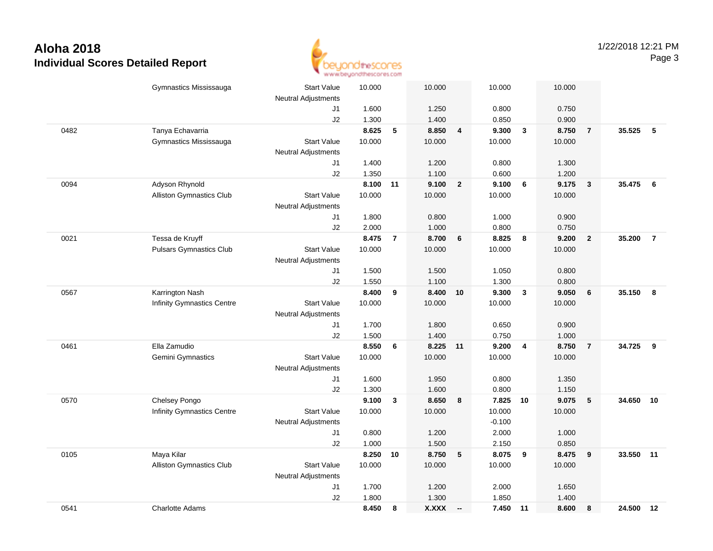

|      | Gymnastics Mississauga         | <b>Start Value</b>         | 10.000            |                | 10.000         |                         | 10.000         |                | 10.000         |                         |           |                 |
|------|--------------------------------|----------------------------|-------------------|----------------|----------------|-------------------------|----------------|----------------|----------------|-------------------------|-----------|-----------------|
|      |                                | <b>Neutral Adjustments</b> |                   |                |                |                         |                |                |                |                         |           |                 |
|      |                                | J1                         | 1.600             |                | 1.250          |                         | 0.800          |                | 0.750          |                         |           |                 |
|      |                                | J2                         | 1.300             |                | 1.400          |                         | 0.850          |                | 0.900          |                         |           |                 |
| 0482 | Tanya Echavarria               |                            | 8.625             | 5              | 8.850          | $\overline{\mathbf{4}}$ | 9.300          | $\mathbf{3}$   | 8.750          | $\overline{7}$          | 35.525    | -5              |
|      | Gymnastics Mississauga         | <b>Start Value</b>         | 10.000            |                | 10.000         |                         | 10.000         |                | 10.000         |                         |           |                 |
|      |                                | Neutral Adjustments        |                   |                |                |                         |                |                |                |                         |           |                 |
|      |                                | J1                         | 1.400             |                | 1.200          |                         | 0.800          |                | 1.300          |                         |           |                 |
|      |                                | J2                         | 1.350<br>8.100 11 |                | 1.100<br>9.100 |                         | 0.600          |                | 1.200          |                         | 35.475    |                 |
| 0094 | Adyson Rhynold                 |                            |                   |                |                | $\overline{2}$          | 9.100          | 6              | 9.175          | $\overline{\mathbf{3}}$ |           | $6\overline{6}$ |
|      | Alliston Gymnastics Club       | <b>Start Value</b>         | 10.000            |                | 10.000         |                         | 10.000         |                | 10.000         |                         |           |                 |
|      |                                | Neutral Adjustments        |                   |                |                |                         |                |                |                |                         |           |                 |
|      |                                | J1<br>J2                   | 1.800<br>2.000    |                | 0.800<br>1.000 |                         | 1.000<br>0.800 |                | 0.900<br>0.750 |                         |           |                 |
| 0021 | Tessa de Kruyff                |                            | 8.475             | $\overline{7}$ | 8.700          | 6                       | 8.825          | 8              | 9.200          | $\overline{2}$          | 35.200    | $\overline{7}$  |
|      | <b>Pulsars Gymnastics Club</b> | <b>Start Value</b>         | 10.000            |                | 10.000         |                         | 10.000         |                | 10.000         |                         |           |                 |
|      |                                | Neutral Adjustments        |                   |                |                |                         |                |                |                |                         |           |                 |
|      |                                | J1                         | 1.500             |                | 1.500          |                         | 1.050          |                | 0.800          |                         |           |                 |
|      |                                | J2                         | 1.550             |                | 1.100          |                         | 1.300          |                | 0.800          |                         |           |                 |
| 0567 | Karrington Nash                |                            | 8.400             | 9              | 8.400          | 10                      | 9.300          | $\mathbf{3}$   | 9.050          | $6\phantom{1}6$         | 35.150    | 8               |
|      | Infinity Gymnastics Centre     | <b>Start Value</b>         | 10.000            |                | 10.000         |                         | 10.000         |                | 10.000         |                         |           |                 |
|      |                                | <b>Neutral Adjustments</b> |                   |                |                |                         |                |                |                |                         |           |                 |
|      |                                | J1                         | 1.700             |                | 1.800          |                         | 0.650          |                | 0.900          |                         |           |                 |
|      |                                | J2                         | 1.500             |                | 1.400          |                         | 0.750          |                | 1.000          |                         |           |                 |
| 0461 | Ella Zamudio                   |                            | 8.550             | 6              | 8.225          | $-11$                   | 9.200          | $\overline{4}$ | 8.750          | $\overline{7}$          | 34.725    | 9               |
|      | Gemini Gymnastics              | <b>Start Value</b>         | 10.000            |                | 10.000         |                         | 10.000         |                | 10.000         |                         |           |                 |
|      |                                | <b>Neutral Adjustments</b> |                   |                |                |                         |                |                |                |                         |           |                 |
|      |                                | J1                         | 1.600             |                | 1.950          |                         | 0.800          |                | 1.350          |                         |           |                 |
|      |                                | J2                         | 1.300             |                | 1.600          |                         | 0.800          |                | 1.150          |                         |           |                 |
| 0570 | Chelsey Pongo                  |                            | 9.100             | $\mathbf{3}$   | 8.650          | 8                       | 7.825          | 10             | 9.075          | $\sqrt{5}$              | 34.650    | 10              |
|      | Infinity Gymnastics Centre     | <b>Start Value</b>         | 10.000            |                | 10.000         |                         | 10.000         |                | 10.000         |                         |           |                 |
|      |                                | <b>Neutral Adjustments</b> |                   |                |                |                         | $-0.100$       |                |                |                         |           |                 |
|      |                                | J1                         | 0.800             |                | 1.200          |                         | 2.000          |                | 1.000          |                         |           |                 |
|      |                                | J2                         | 1.000             |                | 1.500          |                         | 2.150          |                | 0.850          |                         |           |                 |
| 0105 | Maya Kilar                     |                            | 8.250             | 10             | 8.750          | 5                       | 8.075          | 9              | 8.475          | 9                       | 33.550 11 |                 |
|      | Alliston Gymnastics Club       | <b>Start Value</b>         | 10.000            |                | 10.000         |                         | 10.000         |                | 10.000         |                         |           |                 |
|      |                                | <b>Neutral Adjustments</b> |                   |                |                |                         |                |                |                |                         |           |                 |
|      |                                | J1                         | 1.700             |                | 1.200          |                         | 2.000          |                | 1.650          |                         |           |                 |
|      |                                | J2                         | 1.800             |                | 1.300          |                         | 1.850          |                | 1.400          |                         |           |                 |
| 0541 | <b>Charlotte Adams</b>         |                            | 8.450             | 8              | <b>X.XXX</b>   | $\sim$                  | 7.450          | 11             | 8.600          | 8                       | 24.500    | 12              |
|      |                                |                            |                   |                |                |                         |                |                |                |                         |           |                 |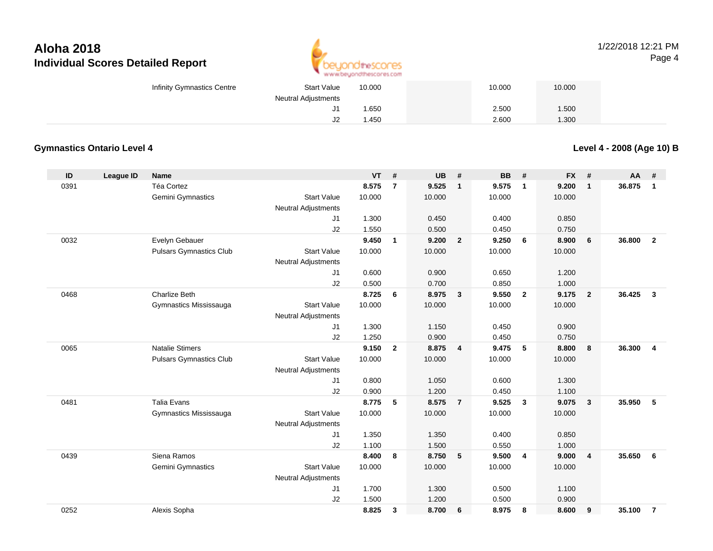

#### 1/22/2018 12:21 PMPage 4

| Infinity Gymnastics Centre | <b>Start Value</b>  | 10.000 | 10.000 | 10.000 |  |
|----------------------------|---------------------|--------|--------|--------|--|
|                            | Neutral Adjustments |        |        |        |  |
|                            | J1                  | 1.650  | 2.500  | .500   |  |
|                            | J2                  | .450   | 2.600  | .300   |  |

#### **Gymnastics Ontario Level 4**

**Level 4 - 2008 (Age 10) B**

| ID   | <b>League ID</b> | <b>Name</b>                    |                            | <b>VT</b> | #              | UB     | #              | <b>BB</b> | #                       | <b>FX</b> | #              | <b>AA</b> | #                       |
|------|------------------|--------------------------------|----------------------------|-----------|----------------|--------|----------------|-----------|-------------------------|-----------|----------------|-----------|-------------------------|
| 0391 |                  | Téa Cortez                     |                            | 8.575     | $\overline{7}$ | 9.525  | $\mathbf{1}$   | 9.575     | $\overline{\mathbf{1}}$ | 9.200     | $\mathbf{1}$   | 36.875    | $\mathbf{1}$            |
|      |                  | Gemini Gymnastics              | <b>Start Value</b>         | 10.000    |                | 10.000 |                | 10.000    |                         | 10.000    |                |           |                         |
|      |                  |                                | <b>Neutral Adjustments</b> |           |                |        |                |           |                         |           |                |           |                         |
|      |                  |                                | J1                         | 1.300     |                | 0.450  |                | 0.400     |                         | 0.850     |                |           |                         |
|      |                  |                                | J2                         | 1.550     |                | 0.500  |                | 0.450     |                         | 0.750     |                |           |                         |
| 0032 |                  | Evelyn Gebauer                 |                            | 9.450     | $\mathbf{1}$   | 9.200  | $\overline{2}$ | 9.250     | - 6                     | 8.900     | 6              | 36,800    | $\overline{2}$          |
|      |                  | <b>Pulsars Gymnastics Club</b> | <b>Start Value</b>         | 10.000    |                | 10.000 |                | 10.000    |                         | 10.000    |                |           |                         |
|      |                  |                                | <b>Neutral Adjustments</b> |           |                |        |                |           |                         |           |                |           |                         |
|      |                  |                                | J <sub>1</sub>             | 0.600     |                | 0.900  |                | 0.650     |                         | 1.200     |                |           |                         |
|      |                  |                                | J2                         | 0.500     |                | 0.700  |                | 0.850     |                         | 1.000     |                |           |                         |
| 0468 |                  | <b>Charlize Beth</b>           |                            | 8.725     | 6              | 8.975  | $\mathbf{3}$   | 9.550     | $\overline{\mathbf{2}}$ | 9.175     | $\overline{2}$ | 36.425    | $\mathbf{3}$            |
|      |                  | Gymnastics Mississauga         | <b>Start Value</b>         | 10.000    |                | 10.000 |                | 10.000    |                         | 10.000    |                |           |                         |
|      |                  |                                | <b>Neutral Adjustments</b> |           |                |        |                |           |                         |           |                |           |                         |
|      |                  |                                | J1                         | 1.300     |                | 1.150  |                | 0.450     |                         | 0.900     |                |           |                         |
|      |                  |                                | J2                         | 1.250     |                | 0.900  |                | 0.450     |                         | 0.750     |                |           |                         |
| 0065 |                  | <b>Natalie Stimers</b>         |                            | 9.150     | $\overline{2}$ | 8.875  | $\overline{4}$ | 9.475     | 5                       | 8.800     | 8              | 36.300    | $\overline{\mathbf{4}}$ |
|      |                  | <b>Pulsars Gymnastics Club</b> | <b>Start Value</b>         | 10.000    |                | 10.000 |                | 10.000    |                         | 10.000    |                |           |                         |
|      |                  |                                | <b>Neutral Adjustments</b> |           |                |        |                |           |                         |           |                |           |                         |
|      |                  |                                | J1                         | 0.800     |                | 1.050  |                | 0.600     |                         | 1.300     |                |           |                         |
|      |                  |                                | J2                         | 0.900     |                | 1.200  |                | 0.450     |                         | 1.100     |                |           |                         |
| 0481 |                  | <b>Talia Evans</b>             |                            | 8.775     | 5              | 8.575  | $\overline{7}$ | 9.525     | $\mathbf{3}$            | 9.075     | $\mathbf{3}$   | 35.950    | 5                       |
|      |                  | Gymnastics Mississauga         | <b>Start Value</b>         | 10.000    |                | 10.000 |                | 10.000    |                         | 10.000    |                |           |                         |
|      |                  |                                | <b>Neutral Adjustments</b> |           |                |        |                |           |                         |           |                |           |                         |
|      |                  |                                | J1                         | 1.350     |                | 1.350  |                | 0.400     |                         | 0.850     |                |           |                         |
|      |                  |                                | J2                         | 1.100     |                | 1.500  |                | 0.550     |                         | 1.000     |                |           |                         |
| 0439 |                  | Siena Ramos                    |                            | 8.400     | 8              | 8.750  | 5              | 9.500     | $\overline{4}$          | 9.000     | $\overline{4}$ | 35.650    | 6                       |
|      |                  | Gemini Gymnastics              | <b>Start Value</b>         | 10.000    |                | 10.000 |                | 10.000    |                         | 10.000    |                |           |                         |
|      |                  |                                | Neutral Adjustments        |           |                |        |                |           |                         |           |                |           |                         |
|      |                  |                                | J1                         | 1.700     |                | 1.300  |                | 0.500     |                         | 1.100     |                |           |                         |
|      |                  |                                | J2                         | 1.500     |                | 1.200  |                | 0.500     |                         | 0.900     |                |           |                         |
| 0252 |                  | Alexis Sopha                   |                            | 8.825     | 3              | 8.700  | 6              | 8.975     | 8                       | 8.600     | 9              | 35.100    | $\overline{7}$          |
|      |                  |                                |                            |           |                |        |                |           |                         |           |                |           |                         |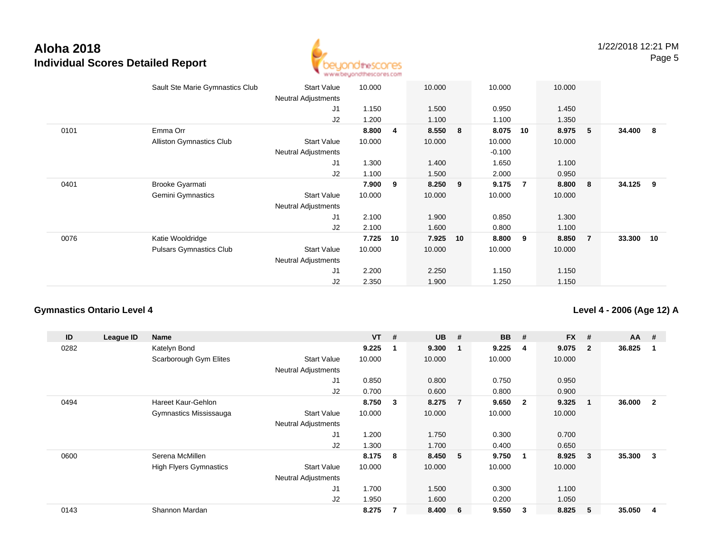

|      | Sault Ste Marie Gymnastics Club | <b>Start Value</b><br><b>Neutral Adjustments</b> | 10.000 |    | 10.000  |    | 10.000   |                | 10.000 |                |           |                         |
|------|---------------------------------|--------------------------------------------------|--------|----|---------|----|----------|----------------|--------|----------------|-----------|-------------------------|
|      |                                 | J1                                               | 1.150  |    | 1.500   |    | 0.950    |                | 1.450  |                |           |                         |
|      |                                 | J2                                               | 1.200  |    | 1.100   |    | 1.100    |                | 1.350  |                |           |                         |
| 0101 | Emma Orr                        |                                                  | 8.800  | 4  | 8.550   | 8  | 8.075    | 10             | 8.975  | 5              | 34.400    | $\overline{\mathbf{8}}$ |
|      | <b>Alliston Gymnastics Club</b> | <b>Start Value</b>                               | 10.000 |    | 10.000  |    | 10.000   |                | 10.000 |                |           |                         |
|      |                                 | <b>Neutral Adjustments</b>                       |        |    |         |    | $-0.100$ |                |        |                |           |                         |
|      |                                 | J1                                               | 1.300  |    | 1.400   |    | 1.650    |                | 1.100  |                |           |                         |
|      |                                 | J2                                               | 1.100  |    | 1.500   |    | 2.000    |                | 0.950  |                |           |                         |
| 0401 | <b>Brooke Gyarmati</b>          |                                                  | 7.900  | 9  | 8.250 9 |    | 9.175    | $\overline{7}$ | 8.800  | - 8            | 34.125 9  |                         |
|      | Gemini Gymnastics               | <b>Start Value</b>                               | 10.000 |    | 10.000  |    | 10.000   |                | 10.000 |                |           |                         |
|      |                                 | Neutral Adjustments                              |        |    |         |    |          |                |        |                |           |                         |
|      |                                 | J1                                               | 2.100  |    | 1.900   |    | 0.850    |                | 1.300  |                |           |                         |
|      |                                 | J2                                               | 2.100  |    | 1.600   |    | 0.800    |                | 1.100  |                |           |                         |
| 0076 | Katie Wooldridge                |                                                  | 7.725  | 10 | 7.925   | 10 | 8.800    | 9              | 8.850  | $\overline{7}$ | 33.300 10 |                         |
|      | <b>Pulsars Gymnastics Club</b>  | <b>Start Value</b>                               | 10.000 |    | 10.000  |    | 10.000   |                | 10.000 |                |           |                         |
|      |                                 | <b>Neutral Adjustments</b>                       |        |    |         |    |          |                |        |                |           |                         |
|      |                                 | J1                                               | 2.200  |    | 2.250   |    | 1.150    |                | 1.150  |                |           |                         |
|      |                                 | J2                                               | 2.350  |    | 1.900   |    | 1.250    |                | 1.150  |                |           |                         |
|      |                                 |                                                  |        |    |         |    |          |                |        |                |           |                         |

#### **Gymnastics Ontario Level 4**

**Level 4 - 2006 (Age 12) A**

| ID   | League ID | Name                          |                            | <b>VT</b> | #                       | <b>UB</b> | #              | <b>BB</b> | #              | <b>FX</b> | #            | $AA$ # |              |
|------|-----------|-------------------------------|----------------------------|-----------|-------------------------|-----------|----------------|-----------|----------------|-----------|--------------|--------|--------------|
| 0282 |           | Katelyn Bond                  |                            | 9.225     |                         | 9.300     | - 1            | 9.225     | 4              | 9.075     | $\mathbf{2}$ | 36.825 |              |
|      |           | Scarborough Gym Elites        | <b>Start Value</b>         | 10.000    |                         | 10.000    |                | 10.000    |                | 10.000    |              |        |              |
|      |           |                               | <b>Neutral Adjustments</b> |           |                         |           |                |           |                |           |              |        |              |
|      |           |                               | J1                         | 0.850     |                         | 0.800     |                | 0.750     |                | 0.950     |              |        |              |
|      |           |                               | J2                         | 0.700     |                         | 0.600     |                | 0.800     |                | 0.900     |              |        |              |
| 0494 |           | <b>Hareet Kaur-Gehlon</b>     |                            | 8.750     | $\overline{\mathbf{3}}$ | 8.275     | $\overline{7}$ | 9.650     | $\overline{2}$ | 9.325     | 1            | 36.000 | $\mathbf{2}$ |
|      |           | Gymnastics Mississauga        | <b>Start Value</b>         | 10.000    |                         | 10.000    |                | 10.000    |                | 10.000    |              |        |              |
|      |           |                               | <b>Neutral Adjustments</b> |           |                         |           |                |           |                |           |              |        |              |
|      |           |                               | J <sub>1</sub>             | 1.200     |                         | 1.750     |                | 0.300     |                | 0.700     |              |        |              |
|      |           |                               | J <sub>2</sub>             | 1.300     |                         | 1.700     |                | 0.400     |                | 0.650     |              |        |              |
| 0600 |           | Serena McMillen               |                            | 8.175     | 8                       | 8.450     | - 5            | 9.750     | $\mathbf 1$    | 8.925     | 3            | 35.300 | 3            |
|      |           | <b>High Flyers Gymnastics</b> | <b>Start Value</b>         | 10.000    |                         | 10.000    |                | 10.000    |                | 10.000    |              |        |              |
|      |           |                               | <b>Neutral Adjustments</b> |           |                         |           |                |           |                |           |              |        |              |
|      |           |                               | J1                         | 1.700     |                         | 1.500     |                | 0.300     |                | 1.100     |              |        |              |
|      |           |                               | J <sub>2</sub>             | 1.950     |                         | 1.600     |                | 0.200     |                | 1.050     |              |        |              |
| 0143 |           | Shannon Mardan                |                            | 8.275     | 7                       | 8.400     | - 6            | 9.550     | 3              | 8.825     | 5            | 35.050 | 4            |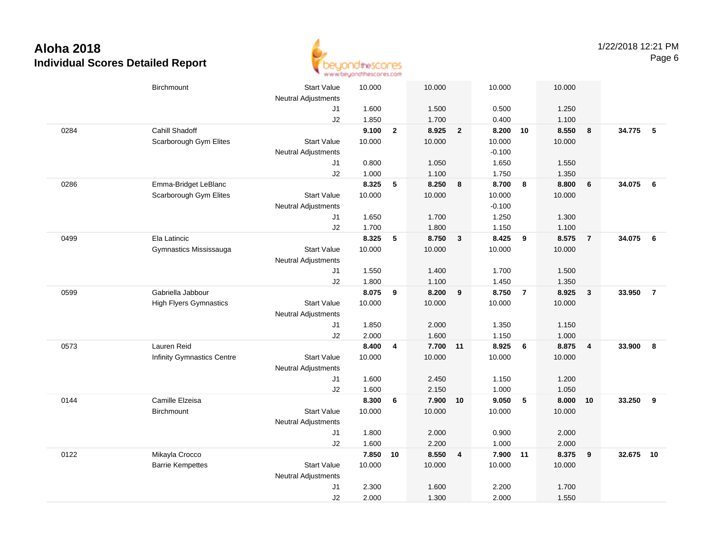

|      | <b>Birchmount</b>                 | <b>Start Value</b><br><b>Neutral Adjustments</b> | 10.000 |                         | 10.000   |                         | 10.000   |                 | 10.000 |                  |          |                |
|------|-----------------------------------|--------------------------------------------------|--------|-------------------------|----------|-------------------------|----------|-----------------|--------|------------------|----------|----------------|
|      |                                   | J1                                               | 1.600  |                         | 1.500    |                         | 0.500    |                 | 1.250  |                  |          |                |
|      |                                   | J2                                               | 1.850  |                         | 1.700    |                         | 0.400    |                 | 1.100  |                  |          |                |
| 0284 | Cahill Shadoff                    |                                                  | 9.100  | $\mathbf{2}$            | 8.925    | $\overline{2}$          | 8.200 10 |                 | 8.550  | $\boldsymbol{8}$ | 34.775 5 |                |
|      | Scarborough Gym Elites            | <b>Start Value</b>                               | 10.000 |                         | 10.000   |                         | 10.000   |                 | 10.000 |                  |          |                |
|      |                                   | <b>Neutral Adjustments</b>                       |        |                         |          |                         | $-0.100$ |                 |        |                  |          |                |
|      |                                   | J1                                               | 0.800  |                         | 1.050    |                         | 1.650    |                 | 1.550  |                  |          |                |
|      |                                   | J2                                               | 1.000  |                         | 1.100    |                         | 1.750    |                 | 1.350  |                  |          |                |
| 0286 | Emma-Bridget LeBlanc              |                                                  | 8.325  | 5                       | 8.250    | 8                       | 8.700    | 8               | 8.800  | $6\phantom{1}6$  | 34.075   | - 6            |
|      | Scarborough Gym Elites            | <b>Start Value</b>                               | 10.000 |                         | 10.000   |                         | 10.000   |                 | 10.000 |                  |          |                |
|      |                                   | <b>Neutral Adjustments</b>                       |        |                         |          |                         | $-0.100$ |                 |        |                  |          |                |
|      |                                   | J1                                               | 1.650  |                         | 1.700    |                         | 1.250    |                 | 1.300  |                  |          |                |
|      |                                   | J2                                               | 1.700  |                         | 1.800    |                         | 1.150    |                 | 1.100  |                  |          |                |
| 0499 | Ela Latincic                      |                                                  | 8.325  | 5                       | 8.750    | $\mathbf{3}$            | 8.425    | 9               | 8.575  | $\overline{7}$   | 34.075   | - 6            |
|      | Gymnastics Mississauga            | <b>Start Value</b>                               | 10.000 |                         | 10.000   |                         | 10.000   |                 | 10.000 |                  |          |                |
|      |                                   | <b>Neutral Adjustments</b>                       |        |                         |          |                         |          |                 |        |                  |          |                |
|      |                                   | J1                                               | 1.550  |                         | 1.400    |                         | 1.700    |                 | 1.500  |                  |          |                |
|      |                                   | J2                                               | 1.800  |                         | 1.100    |                         | 1.450    |                 | 1.350  |                  |          |                |
| 0599 | Gabriella Jabbour                 |                                                  | 8.075  | 9                       | 8.200    | 9                       | 8.750    | $\overline{7}$  | 8.925  | $\mathbf{3}$     | 33.950   | $\overline{7}$ |
|      | <b>High Flyers Gymnastics</b>     | <b>Start Value</b>                               | 10.000 |                         | 10.000   |                         | 10.000   |                 | 10.000 |                  |          |                |
|      |                                   | <b>Neutral Adjustments</b>                       |        |                         |          |                         |          |                 |        |                  |          |                |
|      |                                   | J1                                               | 1.850  |                         | 2.000    |                         | 1.350    |                 | 1.150  |                  |          |                |
|      |                                   | J2                                               | 2.000  |                         | 1.600    |                         | 1.150    |                 | 1.000  |                  |          |                |
| 0573 | Lauren Reid                       |                                                  | 8.400  | $\overline{\mathbf{4}}$ | 7.700 11 |                         | 8.925    | $6\phantom{1}6$ | 8.875  | $\overline{4}$   | 33.900   | - 8            |
|      | <b>Infinity Gymnastics Centre</b> | <b>Start Value</b>                               | 10.000 |                         | 10.000   |                         | 10.000   |                 | 10.000 |                  |          |                |
|      |                                   | <b>Neutral Adjustments</b>                       |        |                         |          |                         |          |                 |        |                  |          |                |
|      |                                   | J1                                               | 1.600  |                         | 2.450    |                         | 1.150    |                 | 1.200  |                  |          |                |
|      |                                   | J2                                               | 1.600  |                         | 2.150    |                         | 1.000    |                 | 1.050  |                  |          |                |
| 0144 | Camille Elzeisa                   |                                                  | 8.300  | 6                       | 7.900    | 10                      | 9.050    | 5               | 8.000  | 10               | 33.250   | 9              |
|      | <b>Birchmount</b>                 | <b>Start Value</b>                               | 10.000 |                         | 10.000   |                         | 10.000   |                 | 10.000 |                  |          |                |
|      |                                   | <b>Neutral Adjustments</b>                       |        |                         |          |                         |          |                 |        |                  |          |                |
|      |                                   | J1                                               | 1.800  |                         | 2.000    |                         | 0.900    |                 | 2.000  |                  |          |                |
|      |                                   | J2                                               | 1.600  |                         | 2.200    |                         | 1.000    |                 | 2.000  |                  |          |                |
| 0122 | Mikayla Crocco                    |                                                  | 7.850  | 10                      | 8.550    | $\overline{\mathbf{4}}$ | 7.900    | 11              | 8.375  | 9                | 32.675   | 10             |
|      | <b>Barrie Kempettes</b>           | <b>Start Value</b>                               | 10.000 |                         | 10.000   |                         | 10.000   |                 | 10.000 |                  |          |                |
|      |                                   | <b>Neutral Adjustments</b>                       |        |                         |          |                         |          |                 |        |                  |          |                |
|      |                                   | J1                                               | 2.300  |                         | 1.600    |                         | 2.200    |                 | 1.700  |                  |          |                |
|      |                                   | J2                                               | 2.000  |                         | 1.300    |                         | 2.000    |                 | 1.550  |                  |          |                |
|      |                                   |                                                  |        |                         |          |                         |          |                 |        |                  |          |                |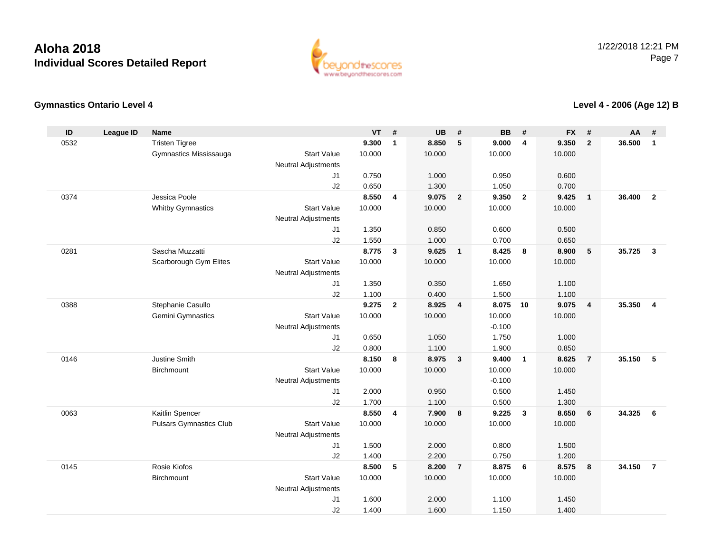

#### **Gymnastics Ontario Level 4**

**Level 4 - 2006 (Age 12) B**

| ID   | <b>League ID</b> | <b>Name</b>                    |                            | <b>VT</b>      | #              | <b>UB</b>      | #                       | <b>BB</b>      | #                       | <b>FX</b>      | #                       | <b>AA</b> | #              |
|------|------------------|--------------------------------|----------------------------|----------------|----------------|----------------|-------------------------|----------------|-------------------------|----------------|-------------------------|-----------|----------------|
| 0532 |                  | <b>Tristen Tigree</b>          |                            | 9.300          | $\mathbf{1}$   | 8.850          | 5                       | 9.000          | $\overline{4}$          | 9.350          | $\overline{2}$          | 36.500    | $\mathbf{1}$   |
|      |                  | Gymnastics Mississauga         | <b>Start Value</b>         | 10.000         |                | 10.000         |                         | 10.000         |                         | 10.000         |                         |           |                |
|      |                  |                                | <b>Neutral Adjustments</b> |                |                |                |                         |                |                         |                |                         |           |                |
|      |                  |                                | J1                         | 0.750          |                | 1.000          |                         | 0.950          |                         | 0.600          |                         |           |                |
|      |                  |                                | J2                         | 0.650          |                | 1.300          |                         | 1.050          |                         | 0.700          |                         |           |                |
| 0374 |                  | Jessica Poole                  |                            | 8.550          | 4              | 9.075          | $\overline{2}$          | 9.350          | $\overline{\mathbf{2}}$ | 9.425          | $\overline{1}$          | 36.400    | $\overline{2}$ |
|      |                  | <b>Whitby Gymnastics</b>       | <b>Start Value</b>         | 10.000         |                | 10.000         |                         | 10.000         |                         | 10.000         |                         |           |                |
|      |                  |                                | Neutral Adjustments        |                |                |                |                         |                |                         |                |                         |           |                |
|      |                  |                                | J1                         | 1.350          |                | 0.850          |                         | 0.600          |                         | 0.500          |                         |           |                |
|      |                  |                                | J2                         | 1.550          |                | 1.000          |                         | 0.700          |                         | 0.650          |                         |           |                |
| 0281 |                  | Sascha Muzzatti                |                            | 8.775          | $\mathbf{3}$   | 9.625          | $\overline{\mathbf{1}}$ | 8.425          | 8                       | 8.900          | 5                       | 35.725    | $\mathbf{3}$   |
|      |                  | Scarborough Gym Elites         | <b>Start Value</b>         | 10.000         |                | 10.000         |                         | 10.000         |                         | 10.000         |                         |           |                |
|      |                  |                                | Neutral Adjustments        |                |                |                |                         |                |                         |                |                         |           |                |
|      |                  |                                | J1                         | 1.350<br>1.100 |                | 0.350<br>0.400 |                         | 1.650          |                         | 1.100          |                         |           |                |
| 0388 |                  | Stephanie Casullo              | J2                         | 9.275          | $\overline{2}$ | 8.925          | $\overline{\mathbf{4}}$ | 1.500<br>8.075 | 10                      | 1.100<br>9.075 | $\overline{\mathbf{4}}$ | 35.350    | $\overline{4}$ |
|      |                  | Gemini Gymnastics              | <b>Start Value</b>         | 10.000         |                | 10.000         |                         | 10.000         |                         | 10.000         |                         |           |                |
|      |                  |                                | <b>Neutral Adjustments</b> |                |                |                |                         | $-0.100$       |                         |                |                         |           |                |
|      |                  |                                | J1                         | 0.650          |                | 1.050          |                         | 1.750          |                         | 1.000          |                         |           |                |
|      |                  |                                | J2                         | 0.800          |                | 1.100          |                         | 1.900          |                         | 0.850          |                         |           |                |
| 0146 |                  | Justine Smith                  |                            | 8.150          | 8              | 8.975          | $\mathbf{3}$            | 9.400          | $\overline{1}$          | 8.625          | $\overline{7}$          | 35.150    | 5              |
|      |                  | Birchmount                     | <b>Start Value</b>         | 10.000         |                | 10.000         |                         | 10.000         |                         | 10.000         |                         |           |                |
|      |                  |                                | <b>Neutral Adjustments</b> |                |                |                |                         | $-0.100$       |                         |                |                         |           |                |
|      |                  |                                | J1                         | 2.000          |                | 0.950          |                         | 0.500          |                         | 1.450          |                         |           |                |
|      |                  |                                | J2                         | 1.700          |                | 1.100          |                         | 0.500          |                         | 1.300          |                         |           |                |
| 0063 |                  | Kaitlin Spencer                |                            | 8.550          | 4              | 7.900          | $\boldsymbol{8}$        | 9.225          | $\overline{\mathbf{3}}$ | 8.650          | 6                       | 34.325    | 6              |
|      |                  | <b>Pulsars Gymnastics Club</b> | <b>Start Value</b>         | 10.000         |                | 10.000         |                         | 10.000         |                         | 10.000         |                         |           |                |
|      |                  |                                | Neutral Adjustments        |                |                |                |                         |                |                         |                |                         |           |                |
|      |                  |                                | J1                         | 1.500          |                | 2.000          |                         | 0.800          |                         | 1.500          |                         |           |                |
|      |                  |                                | J2                         | 1.400          |                | 2.200          |                         | 0.750          |                         | 1.200          |                         |           |                |
| 0145 |                  | Rosie Kiofos                   |                            | 8.500          | 5              | 8.200          | $\overline{7}$          | 8.875          | $6\phantom{.}6$         | 8.575          | 8                       | 34.150    | $\overline{7}$ |
|      |                  | Birchmount                     | <b>Start Value</b>         | 10.000         |                | 10.000         |                         | 10.000         |                         | 10.000         |                         |           |                |
|      |                  |                                | <b>Neutral Adjustments</b> |                |                |                |                         |                |                         |                |                         |           |                |
|      |                  |                                | J1                         | 1.600          |                | 2.000          |                         | 1.100          |                         | 1.450          |                         |           |                |
|      |                  |                                | J2                         | 1.400          |                | 1.600          |                         | 1.150          |                         | 1.400          |                         |           |                |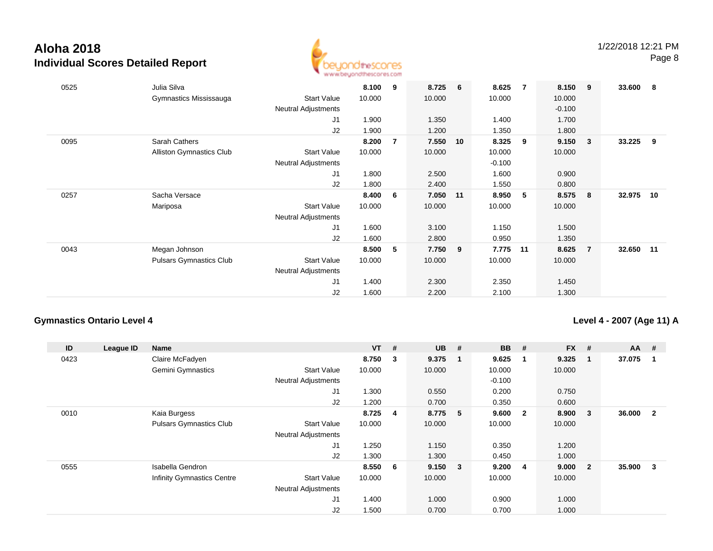

| 0525 | Julia Silva<br>Gymnastics Mississauga            | <b>Start Value</b><br><b>Neutral Adjustments</b><br>J1                   | 8.100<br>10.000<br>1.900          | 9 | 8.725<br>10.000<br>1.350             | $6\overline{6}$ | 8.625<br>10.000<br>1.400                      | $\overline{7}$ | 8.150<br>10.000<br>$-0.100$<br>1.700 | 9                       | 33.600 | - 8 |
|------|--------------------------------------------------|--------------------------------------------------------------------------|-----------------------------------|---|--------------------------------------|-----------------|-----------------------------------------------|----------------|--------------------------------------|-------------------------|--------|-----|
|      |                                                  | J2                                                                       | 1.900                             |   | 1.200                                |                 | 1.350                                         |                | 1.800                                |                         |        |     |
| 0095 | Sarah Cathers<br><b>Alliston Gymnastics Club</b> | <b>Start Value</b><br><b>Neutral Adjustments</b><br>J <sub>1</sub><br>J2 | 8.200<br>10.000<br>1.800<br>1.800 | 7 | 7.550<br>10.000<br>2.500<br>2.400    | 10              | 8.325<br>10.000<br>$-0.100$<br>1.600<br>1.550 | 9              | 9.150<br>10.000<br>0.900<br>0.800    | $\overline{\mathbf{3}}$ | 33.225 | 9   |
| 0257 | Sacha Versace<br>Mariposa                        | <b>Start Value</b><br><b>Neutral Adjustments</b><br>J <sub>1</sub><br>J2 | 8.400<br>10.000<br>1.600<br>1.600 | 6 | 7.050 11<br>10.000<br>3.100<br>2.800 |                 | 8.950<br>10.000<br>1.150<br>0.950             | $5^{\circ}$    | 8.575<br>10.000<br>1.500<br>1.350    | - 8                     | 32.975 | 10  |
| 0043 | Megan Johnson<br><b>Pulsars Gymnastics Club</b>  | <b>Start Value</b><br>Neutral Adjustments<br>J <sub>1</sub><br>J2        | 8.500<br>10.000<br>1.400<br>1.600 | 5 | 7.750<br>10.000<br>2.300<br>2.200    | 9               | 7.775<br>10.000<br>2.350<br>2.100             | 11             | 8.625<br>10.000<br>1.450<br>1.300    | $\overline{7}$          | 32.650 | 11  |

#### **Gymnastics Ontario Level 4**

**Level 4 - 2007 (Age 11) A**

| ID   | League ID | Name                              |                            | <b>VT</b> | #                       | <b>UB</b> | #                       | <b>BB</b> | #              | $FX$ # |                | AA     | - #            |
|------|-----------|-----------------------------------|----------------------------|-----------|-------------------------|-----------|-------------------------|-----------|----------------|--------|----------------|--------|----------------|
| 0423 |           | Claire McFadyen                   |                            | 8.750     | $_{3}$                  | 9.375     | -1                      | 9.625     | 1              | 9.325  |                | 37.075 |                |
|      |           | Gemini Gymnastics                 | <b>Start Value</b>         | 10.000    |                         | 10.000    |                         | 10.000    |                | 10.000 |                |        |                |
|      |           |                                   | <b>Neutral Adjustments</b> |           |                         |           |                         | $-0.100$  |                |        |                |        |                |
|      |           |                                   | J1                         | 1.300     |                         | 0.550     |                         | 0.200     |                | 0.750  |                |        |                |
|      |           |                                   | J2                         | 1.200     |                         | 0.700     |                         | 0.350     |                | 0.600  |                |        |                |
| 0010 |           | Kaia Burgess                      |                            | 8.725     | $\overline{\mathbf{4}}$ | 8.775     | - 5                     | 9.600     | $\overline{2}$ | 8.900  | 3              | 36.000 | $\overline{2}$ |
|      |           | <b>Pulsars Gymnastics Club</b>    | <b>Start Value</b>         | 10.000    |                         | 10.000    |                         | 10.000    |                | 10.000 |                |        |                |
|      |           |                                   | <b>Neutral Adjustments</b> |           |                         |           |                         |           |                |        |                |        |                |
|      |           |                                   | J <sub>1</sub>             | 1.250     |                         | 1.150     |                         | 0.350     |                | 1.200  |                |        |                |
|      |           |                                   | J2                         | 1.300     |                         | 1.300     |                         | 0.450     |                | 1.000  |                |        |                |
| 0555 |           | Isabella Gendron                  |                            | 8.550     | 6 <sup>6</sup>          | 9.150     | $\overline{\mathbf{3}}$ | 9.200     | 4              | 9.000  | $\overline{2}$ | 35.900 | -3             |
|      |           | <b>Infinity Gymnastics Centre</b> | <b>Start Value</b>         | 10.000    |                         | 10.000    |                         | 10.000    |                | 10.000 |                |        |                |
|      |           |                                   | <b>Neutral Adjustments</b> |           |                         |           |                         |           |                |        |                |        |                |
|      |           |                                   | J <sub>1</sub>             | 1.400     |                         | 1.000     |                         | 0.900     |                | 1.000  |                |        |                |
|      |           |                                   | J2                         | 1.500     |                         | 0.700     |                         | 0.700     |                | 1.000  |                |        |                |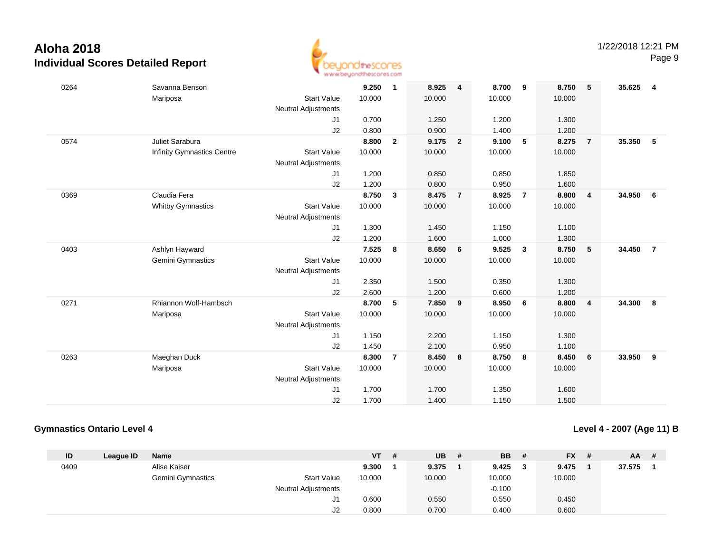

| 0264 | Savanna Benson                    |                            | 9.250  | $\overline{\mathbf{1}}$ | 8.925  | 4              | 8.700  | 9                       | 8.750  | 5                       | 35.625 | 4              |
|------|-----------------------------------|----------------------------|--------|-------------------------|--------|----------------|--------|-------------------------|--------|-------------------------|--------|----------------|
|      | Mariposa                          | <b>Start Value</b>         | 10.000 |                         | 10.000 |                | 10.000 |                         | 10.000 |                         |        |                |
|      |                                   | Neutral Adjustments        |        |                         |        |                |        |                         |        |                         |        |                |
|      |                                   | J1                         | 0.700  |                         | 1.250  |                | 1.200  |                         | 1.300  |                         |        |                |
|      |                                   | J2                         | 0.800  |                         | 0.900  |                | 1.400  |                         | 1.200  |                         |        |                |
| 0574 | Juliet Sarabura                   |                            | 8.800  | $\overline{2}$          | 9.175  | $\overline{2}$ | 9.100  | 5                       | 8.275  | $\overline{7}$          | 35.350 | - 5            |
|      | <b>Infinity Gymnastics Centre</b> | <b>Start Value</b>         | 10.000 |                         | 10.000 |                | 10.000 |                         | 10.000 |                         |        |                |
|      |                                   | <b>Neutral Adjustments</b> |        |                         |        |                |        |                         |        |                         |        |                |
|      |                                   | J1                         | 1.200  |                         | 0.850  |                | 0.850  |                         | 1.850  |                         |        |                |
|      |                                   | J2                         | 1.200  |                         | 0.800  |                | 0.950  |                         | 1.600  |                         |        |                |
| 0369 | Claudia Fera                      |                            | 8.750  | $\mathbf{3}$            | 8.475  | $\overline{7}$ | 8.925  | $\overline{7}$          | 8.800  | $\overline{\mathbf{4}}$ | 34.950 | 6              |
|      | <b>Whitby Gymnastics</b>          | <b>Start Value</b>         | 10.000 |                         | 10.000 |                | 10.000 |                         | 10.000 |                         |        |                |
|      |                                   | <b>Neutral Adjustments</b> |        |                         |        |                |        |                         |        |                         |        |                |
|      |                                   | J1                         | 1.300  |                         | 1.450  |                | 1.150  |                         | 1.100  |                         |        |                |
|      |                                   | J2                         | 1.200  |                         | 1.600  |                | 1.000  |                         | 1.300  |                         |        |                |
| 0403 | Ashlyn Hayward                    |                            | 7.525  | 8                       | 8.650  | 6              | 9.525  | $\overline{\mathbf{3}}$ | 8.750  | 5                       | 34.450 | $\overline{7}$ |
|      | Gemini Gymnastics                 | <b>Start Value</b>         | 10.000 |                         | 10.000 |                | 10.000 |                         | 10.000 |                         |        |                |
|      |                                   | Neutral Adjustments        |        |                         |        |                |        |                         |        |                         |        |                |
|      |                                   | J <sub>1</sub>             | 2.350  |                         | 1.500  |                | 0.350  |                         | 1.300  |                         |        |                |
|      |                                   | J2                         | 2.600  |                         | 1.200  |                | 0.600  |                         | 1.200  |                         |        |                |
| 0271 | Rhiannon Wolf-Hambsch             |                            | 8.700  | 5                       | 7.850  | 9              | 8.950  | 6                       | 8.800  | 4                       | 34.300 | 8              |
|      | Mariposa                          | <b>Start Value</b>         | 10.000 |                         | 10.000 |                | 10.000 |                         | 10.000 |                         |        |                |
|      |                                   | <b>Neutral Adjustments</b> |        |                         |        |                |        |                         |        |                         |        |                |
|      |                                   | J1                         | 1.150  |                         | 2.200  |                | 1.150  |                         | 1.300  |                         |        |                |
|      |                                   | J2                         | 1.450  |                         | 2.100  |                | 0.950  |                         | 1.100  |                         |        |                |
| 0263 | Maeghan Duck                      |                            | 8.300  | $\overline{7}$          | 8.450  | 8              | 8.750  | 8                       | 8.450  | 6                       | 33.950 | 9              |
|      | Mariposa                          | <b>Start Value</b>         | 10.000 |                         | 10.000 |                | 10.000 |                         | 10.000 |                         |        |                |
|      |                                   | <b>Neutral Adjustments</b> |        |                         |        |                |        |                         |        |                         |        |                |
|      |                                   | J1                         | 1.700  |                         | 1.700  |                | 1.350  |                         | 1.600  |                         |        |                |
|      |                                   | J2                         | 1.700  |                         | 1.400  |                | 1.150  |                         | 1.500  |                         |        |                |

#### **Gymnastics Ontario Level 4**

**Level 4 - 2007 (Age 11) B**

| ID   | League ID | Name                     |                            | <b>VT</b> | # | UB     | # | BB.      |   | FX #   | <b>AA</b> | - # |
|------|-----------|--------------------------|----------------------------|-----------|---|--------|---|----------|---|--------|-----------|-----|
| 0409 |           | Alise Kaiser             |                            | 9.300     |   | 9.375  |   | 9.425    | 2 | 9.475  | 37.575    |     |
|      |           | <b>Gemini Gymnastics</b> | <b>Start Value</b>         | 10.000    |   | 10.000 |   | 10.000   |   | 10.000 |           |     |
|      |           |                          | <b>Neutral Adjustments</b> |           |   |        |   | $-0.100$ |   |        |           |     |
|      |           |                          | J1                         | 0.600     |   | 0.550  |   | 0.550    |   | 0.450  |           |     |
|      |           |                          | J2                         | 0.800     |   | 0.700  |   | 0.400    |   | 0.600  |           |     |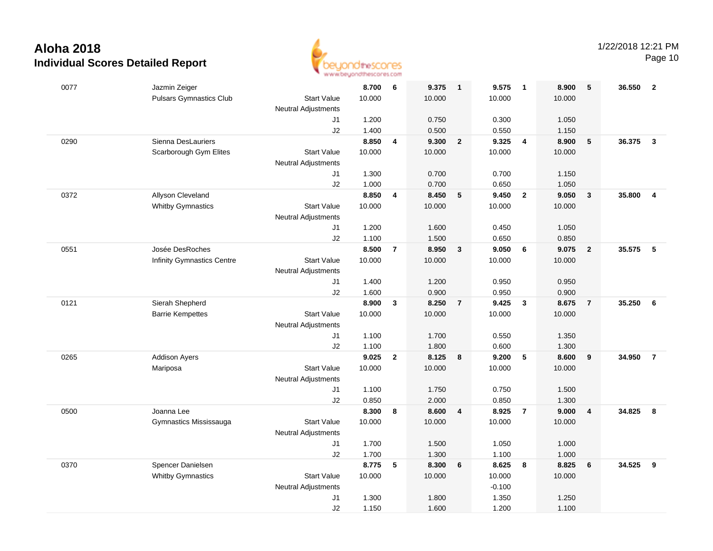

Page 10

| 0077 | Jazmin Zeiger                  |                            | 8.700          | 6              | 9.375          | $\overline{\mathbf{1}}$ | 9.575          | $\overline{1}$   | 8.900          | 5                       | 36.550   | $\overline{2}$          |
|------|--------------------------------|----------------------------|----------------|----------------|----------------|-------------------------|----------------|------------------|----------------|-------------------------|----------|-------------------------|
|      | <b>Pulsars Gymnastics Club</b> | <b>Start Value</b>         | 10.000         |                | 10.000         |                         | 10.000         |                  | 10.000         |                         |          |                         |
|      |                                | <b>Neutral Adjustments</b> |                |                |                |                         |                |                  |                |                         |          |                         |
|      |                                | J1                         | 1.200          |                | 0.750          |                         | 0.300          |                  | 1.050          |                         |          |                         |
|      |                                | J2                         | 1.400          |                | 0.500          |                         | 0.550          |                  | 1.150          |                         |          |                         |
| 0290 | Sienna DesLauriers             |                            | 8.850          | 4              | 9.300          | $\overline{\mathbf{2}}$ | 9.325          | $\overline{4}$   | 8.900          | $\sqrt{5}$              | 36.375   | $\overline{\mathbf{3}}$ |
|      | Scarborough Gym Elites         | <b>Start Value</b>         | 10.000         |                | 10.000         |                         | 10.000         |                  | 10.000         |                         |          |                         |
|      |                                | <b>Neutral Adjustments</b> |                |                |                |                         |                |                  |                |                         |          |                         |
|      |                                | J1                         | 1.300          |                | 0.700          |                         | 0.700          |                  | 1.150          |                         |          |                         |
|      |                                | J2                         | 1.000          |                | 0.700          |                         | 0.650          |                  | 1.050          |                         |          |                         |
| 0372 | Allyson Cleveland              |                            | 8.850          | 4              | 8.450          | 5                       | 9.450          | $\overline{2}$   | 9.050          | $\mathbf{3}$            | 35.800   | 4                       |
|      | <b>Whitby Gymnastics</b>       | <b>Start Value</b>         | 10.000         |                | 10.000         |                         | 10.000         |                  | 10.000         |                         |          |                         |
|      |                                | <b>Neutral Adjustments</b> |                |                |                |                         |                |                  |                |                         |          |                         |
|      |                                | J1                         | 1.200          |                | 1.600          |                         | 0.450          |                  | 1.050          |                         |          |                         |
|      |                                | J2                         | 1.100          |                | 1.500          |                         | 0.650          |                  | 0.850          |                         |          |                         |
| 0551 | Josée DesRoches                |                            | 8.500          | $\overline{7}$ | 8.950          | $\mathbf{3}$            | 9.050          | 6                | 9.075          | $\overline{2}$          | 35.575 5 |                         |
|      | Infinity Gymnastics Centre     | <b>Start Value</b>         | 10.000         |                | 10.000         |                         | 10.000         |                  | 10.000         |                         |          |                         |
|      |                                | <b>Neutral Adjustments</b> |                |                |                |                         |                |                  |                |                         |          |                         |
|      |                                | J1                         | 1.400          |                | 1.200          |                         | 0.950          |                  | 0.950          |                         |          |                         |
|      |                                | J2                         | 1.600          |                | 0.900          |                         | 0.950          |                  | 0.900          |                         |          |                         |
| 0121 | Sierah Shepherd                |                            | 8.900          | $\mathbf{3}$   | 8.250          | $\overline{7}$          | 9.425          | $\mathbf{3}$     | 8.675          | $\overline{7}$          | 35.250   | 6                       |
|      | <b>Barrie Kempettes</b>        | <b>Start Value</b>         | 10.000         |                | 10.000         |                         | 10.000         |                  | 10.000         |                         |          |                         |
|      |                                | <b>Neutral Adjustments</b> |                |                |                |                         |                |                  |                |                         |          |                         |
|      |                                | J1                         | 1.100          |                | 1.700          |                         | 0.550          |                  | 1.350          |                         |          |                         |
| 0265 |                                | J2                         | 1.100<br>9.025 | $\overline{2}$ | 1.800<br>8.125 | 8                       | 0.600<br>9.200 | $-5$             | 1.300<br>8.600 | 9                       | 34.950   | $\overline{7}$          |
|      | <b>Addison Ayers</b>           | <b>Start Value</b>         | 10.000         |                | 10.000         |                         | 10.000         |                  |                |                         |          |                         |
|      | Mariposa                       | <b>Neutral Adjustments</b> |                |                |                |                         |                |                  | 10.000         |                         |          |                         |
|      |                                | J1                         | 1.100          |                | 1.750          |                         | 0.750          |                  | 1.500          |                         |          |                         |
|      |                                | J2                         | 0.850          |                | 2.000          |                         | 0.850          |                  | 1.300          |                         |          |                         |
| 0500 | Joanna Lee                     |                            | 8.300          | 8              | 8.600          | $\overline{\mathbf{4}}$ | 8.925          | $\overline{7}$   | 9.000          | $\overline{\mathbf{4}}$ | 34.825   | 8                       |
|      | Gymnastics Mississauga         | <b>Start Value</b>         | 10.000         |                | 10.000         |                         | 10.000         |                  | 10.000         |                         |          |                         |
|      |                                | <b>Neutral Adjustments</b> |                |                |                |                         |                |                  |                |                         |          |                         |
|      |                                | J1                         | 1.700          |                | 1.500          |                         | 1.050          |                  | 1.000          |                         |          |                         |
|      |                                | J2                         | 1.700          |                | 1.300          |                         | 1.100          |                  | 1.000          |                         |          |                         |
| 0370 | Spencer Danielsen              |                            | 8.775          | 5              | 8.300          | 6                       | 8.625          | $\boldsymbol{8}$ | 8.825          | 6                       | 34.525   | 9                       |
|      | <b>Whitby Gymnastics</b>       | <b>Start Value</b>         | 10.000         |                | 10.000         |                         | 10.000         |                  | 10.000         |                         |          |                         |
|      |                                | <b>Neutral Adjustments</b> |                |                |                |                         | $-0.100$       |                  |                |                         |          |                         |
|      |                                | J1                         | 1.300          |                | 1.800          |                         | 1.350          |                  | 1.250          |                         |          |                         |
|      |                                | J2                         | 1.150          |                | 1.600          |                         | 1.200          |                  | 1.100          |                         |          |                         |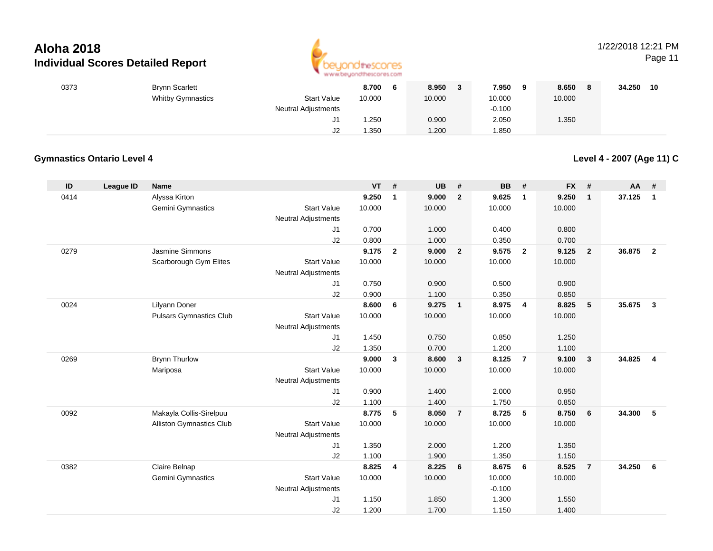

### 1/22/2018 12:21 PM

Page 11

| 0373 | <b>Brynn Scarlett</b>    |                            | 8.700<br>O | 8.950  | 7.950<br>-9 | 8.650<br>- 8 | 34.250<br>10 |
|------|--------------------------|----------------------------|------------|--------|-------------|--------------|--------------|
|      | <b>Whitby Gymnastics</b> | <b>Start Value</b>         | 10.000     | 10.000 | 10.000      | 10.000       |              |
|      |                          | <b>Neutral Adjustments</b> |            |        | $-0.100$    |              |              |
|      |                          | ا ب                        | 1.250      | 0.900  | 2.050       | 1.350        |              |
|      |                          | J2                         | 1.350      | 1.200  | 1.850       |              |              |

#### **Gymnastics Ontario Level 4**

**Level 4 - 2007 (Age 11) C**

| ID   | League ID | <b>Name</b>                     |                            | <b>VT</b> | #              | <b>UB</b> | #              | <b>BB</b> | #              | <b>FX</b> | #              | AA     | #              |
|------|-----------|---------------------------------|----------------------------|-----------|----------------|-----------|----------------|-----------|----------------|-----------|----------------|--------|----------------|
| 0414 |           | Alyssa Kirton                   |                            | 9.250     | 1              | 9.000     | $\overline{2}$ | 9.625     | $\overline{1}$ | 9.250     | $\mathbf{1}$   | 37.125 | $\mathbf{1}$   |
|      |           | Gemini Gymnastics               | <b>Start Value</b>         | 10.000    |                | 10.000    |                | 10.000    |                | 10.000    |                |        |                |
|      |           |                                 | <b>Neutral Adjustments</b> |           |                |           |                |           |                |           |                |        |                |
|      |           |                                 | J1                         | 0.700     |                | 1.000     |                | 0.400     |                | 0.800     |                |        |                |
|      |           |                                 | J2                         | 0.800     |                | 1.000     |                | 0.350     |                | 0.700     |                |        |                |
| 0279 |           | Jasmine Simmons                 |                            | 9.175     | $\overline{2}$ | 9.000     | $\overline{2}$ | 9.575     | $\overline{2}$ | 9.125     | $\overline{2}$ | 36.875 | $\overline{2}$ |
|      |           | Scarborough Gym Elites          | <b>Start Value</b>         | 10.000    |                | 10.000    |                | 10.000    |                | 10.000    |                |        |                |
|      |           |                                 | <b>Neutral Adjustments</b> |           |                |           |                |           |                |           |                |        |                |
|      |           |                                 | J1                         | 0.750     |                | 0.900     |                | 0.500     |                | 0.900     |                |        |                |
|      |           |                                 | J2                         | 0.900     |                | 1.100     |                | 0.350     |                | 0.850     |                |        |                |
| 0024 |           | Lilyann Doner                   |                            | 8.600     | 6              | 9.275     | $\mathbf{1}$   | 8.975     | $\overline{4}$ | 8.825     | 5              | 35.675 | $\mathbf{3}$   |
|      |           | <b>Pulsars Gymnastics Club</b>  | <b>Start Value</b>         | 10.000    |                | 10.000    |                | 10.000    |                | 10.000    |                |        |                |
|      |           |                                 | <b>Neutral Adjustments</b> |           |                |           |                |           |                |           |                |        |                |
|      |           |                                 | J1                         | 1.450     |                | 0.750     |                | 0.850     |                | 1.250     |                |        |                |
|      |           |                                 | J2                         | 1.350     |                | 0.700     |                | 1.200     |                | 1.100     |                |        |                |
| 0269 |           | <b>Brynn Thurlow</b>            |                            | 9.000     | $\mathbf{3}$   | 8.600     | $\mathbf{3}$   | 8.125     | $\overline{7}$ | 9.100     | $\mathbf{3}$   | 34.825 | $\overline{4}$ |
|      |           | Mariposa                        | <b>Start Value</b>         | 10.000    |                | 10.000    |                | 10.000    |                | 10.000    |                |        |                |
|      |           |                                 | <b>Neutral Adjustments</b> |           |                |           |                |           |                |           |                |        |                |
|      |           |                                 | J1                         | 0.900     |                | 1.400     |                | 2.000     |                | 0.950     |                |        |                |
|      |           |                                 | J2                         | 1.100     |                | 1.400     |                | 1.750     |                | 0.850     |                |        |                |
| 0092 |           | Makayla Collis-Sirelpuu         |                            | 8.775     | 5              | 8.050     | $\overline{7}$ | 8.725     | 5              | 8.750     | 6              | 34.300 | 5              |
|      |           | <b>Alliston Gymnastics Club</b> | <b>Start Value</b>         | 10.000    |                | 10.000    |                | 10.000    |                | 10.000    |                |        |                |
|      |           |                                 | <b>Neutral Adjustments</b> |           |                |           |                |           |                |           |                |        |                |
|      |           |                                 | J1                         | 1.350     |                | 2.000     |                | 1.200     |                | 1.350     |                |        |                |
|      |           |                                 | J2                         | 1.100     |                | 1.900     |                | 1.350     |                | 1.150     |                |        |                |
| 0382 |           | Claire Belnap                   |                            | 8.825     | 4              | 8.225     | 6              | 8.675     | 6              | 8.525     | $\overline{7}$ | 34.250 | 6              |
|      |           | <b>Gemini Gymnastics</b>        | <b>Start Value</b>         | 10.000    |                | 10.000    |                | 10.000    |                | 10.000    |                |        |                |
|      |           |                                 | Neutral Adjustments        |           |                |           |                | $-0.100$  |                |           |                |        |                |
|      |           |                                 | J1                         | 1.150     |                | 1.850     |                | 1.300     |                | 1.550     |                |        |                |
|      |           |                                 | J2                         | 1.200     |                | 1.700     |                | 1.150     |                | 1.400     |                |        |                |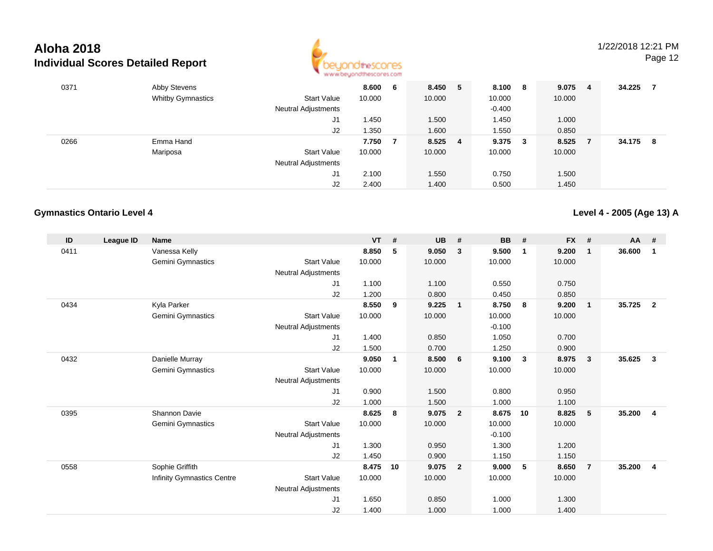

| 0371 | Abby Stevens             |                            | 8.600  | 6 | 8.450   | -5 | 8.100 8  | 9.075  | -4 | 34.225 | 7   |
|------|--------------------------|----------------------------|--------|---|---------|----|----------|--------|----|--------|-----|
|      | <b>Whitby Gymnastics</b> | <b>Start Value</b>         | 10.000 |   | 10.000  |    | 10.000   | 10.000 |    |        |     |
|      |                          | <b>Neutral Adjustments</b> |        |   |         |    | $-0.400$ |        |    |        |     |
|      |                          | J1                         | 1.450  |   | 1.500   |    | 1.450    | 1.000  |    |        |     |
|      |                          | J2                         | 1.350  |   | 1.600   |    | 1.550    | 0.850  |    |        |     |
| 0266 | Emma Hand                |                            | 7.750  |   | 8.525 4 |    | 9.375 3  | 8.525  |    | 34.175 | - 8 |
|      | Mariposa                 | <b>Start Value</b>         | 10.000 |   | 10.000  |    | 10.000   | 10.000 |    |        |     |
|      |                          | <b>Neutral Adjustments</b> |        |   |         |    |          |        |    |        |     |
|      |                          | J1                         | 2.100  |   | 1.550   |    | 0.750    | 1.500  |    |        |     |
|      |                          | J2                         | 2.400  |   | 1.400   |    | 0.500    | 1.450  |    |        |     |

#### **Gymnastics Ontario Level 4**

**Level 4 - 2005 (Age 13) A**

| ID   | League ID | <b>Name</b>                       |                            | <b>VT</b> | #  | <b>UB</b> | #              | <b>BB</b> | #              | <b>FX</b> | #              | AA     | #                       |
|------|-----------|-----------------------------------|----------------------------|-----------|----|-----------|----------------|-----------|----------------|-----------|----------------|--------|-------------------------|
| 0411 |           | Vanessa Kelly                     |                            | 8.850     | 5  | 9.050     | 3              | 9.500     | $\overline{1}$ | 9.200     | $\mathbf{1}$   | 36.600 | $\mathbf{1}$            |
|      |           | Gemini Gymnastics                 | <b>Start Value</b>         | 10.000    |    | 10.000    |                | 10.000    |                | 10.000    |                |        |                         |
|      |           |                                   | <b>Neutral Adjustments</b> |           |    |           |                |           |                |           |                |        |                         |
|      |           |                                   | J1                         | 1.100     |    | 1.100     |                | 0.550     |                | 0.750     |                |        |                         |
|      |           |                                   | J2                         | 1.200     |    | 0.800     |                | 0.450     |                | 0.850     |                |        |                         |
| 0434 |           | Kyla Parker                       |                            | 8.550     | 9  | 9.225     | $\mathbf{1}$   | 8.750     | 8              | 9.200     | $\overline{1}$ | 35.725 | $\mathbf{2}$            |
|      |           | Gemini Gymnastics                 | <b>Start Value</b>         | 10.000    |    | 10.000    |                | 10.000    |                | 10.000    |                |        |                         |
|      |           |                                   | Neutral Adjustments        |           |    |           |                | $-0.100$  |                |           |                |        |                         |
|      |           |                                   | J1                         | 1.400     |    | 0.850     |                | 1.050     |                | 0.700     |                |        |                         |
|      |           |                                   | J2                         | 1.500     |    | 0.700     |                | 1.250     |                | 0.900     |                |        |                         |
| 0432 |           | Danielle Murray                   |                            | 9.050     | 1  | 8.500     | 6              | 9.100     | $\mathbf{3}$   | 8.975     | $\mathbf{3}$   | 35.625 | $\mathbf{3}$            |
|      |           | <b>Gemini Gymnastics</b>          | <b>Start Value</b>         | 10.000    |    | 10.000    |                | 10.000    |                | 10.000    |                |        |                         |
|      |           |                                   | <b>Neutral Adjustments</b> |           |    |           |                |           |                |           |                |        |                         |
|      |           |                                   | J1                         | 0.900     |    | 1.500     |                | 0.800     |                | 0.950     |                |        |                         |
|      |           |                                   | J2                         | 1.000     |    | 1.500     |                | 1.000     |                | 1.100     |                |        |                         |
| 0395 |           | Shannon Davie                     |                            | 8.625     | 8  | 9.075     | $\overline{2}$ | 8.675     | 10             | 8.825     | 5              | 35.200 | $\overline{\mathbf{4}}$ |
|      |           | <b>Gemini Gymnastics</b>          | <b>Start Value</b>         | 10.000    |    | 10.000    |                | 10.000    |                | 10.000    |                |        |                         |
|      |           |                                   | <b>Neutral Adjustments</b> |           |    |           |                | $-0.100$  |                |           |                |        |                         |
|      |           |                                   | J1                         | 1.300     |    | 0.950     |                | 1.300     |                | 1.200     |                |        |                         |
|      |           |                                   | J2                         | 1.450     |    | 0.900     |                | 1.150     |                | 1.150     |                |        |                         |
| 0558 |           | Sophie Griffith                   |                            | 8.475     | 10 | 9.075     | $\overline{2}$ | 9.000     | 5              | 8.650     | $\overline{7}$ | 35.200 | $\overline{4}$          |
|      |           | <b>Infinity Gymnastics Centre</b> | <b>Start Value</b>         | 10.000    |    | 10.000    |                | 10.000    |                | 10.000    |                |        |                         |
|      |           |                                   | <b>Neutral Adjustments</b> |           |    |           |                |           |                |           |                |        |                         |
|      |           |                                   | J1                         | 1.650     |    | 0.850     |                | 1.000     |                | 1.300     |                |        |                         |
|      |           |                                   | J2                         | 1.400     |    | 1.000     |                | 1.000     |                | 1.400     |                |        |                         |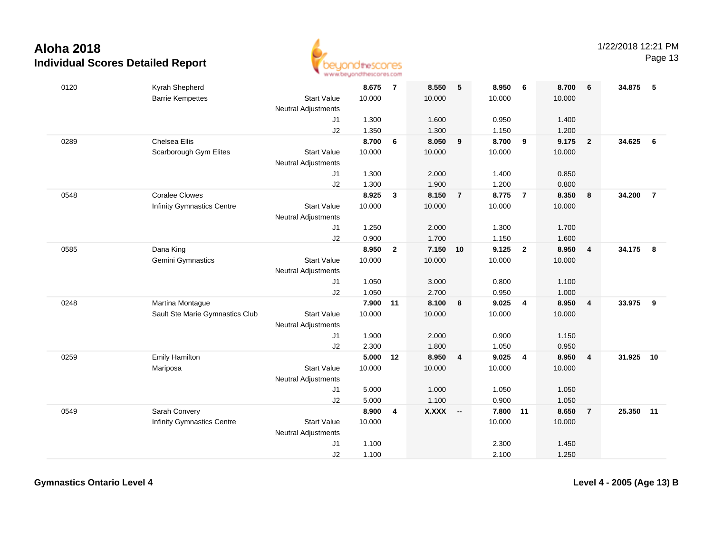

Page 13

| 0120 | Kyrah Shepherd                    |                            | 8.675  | $\overline{7}$ | 8.550        | 5              | 8.950  | 6                       | 8.700  | 6              | 34.875 | 5                       |
|------|-----------------------------------|----------------------------|--------|----------------|--------------|----------------|--------|-------------------------|--------|----------------|--------|-------------------------|
|      | <b>Barrie Kempettes</b>           | <b>Start Value</b>         | 10.000 |                | 10.000       |                | 10.000 |                         | 10.000 |                |        |                         |
|      |                                   | Neutral Adjustments        |        |                |              |                |        |                         |        |                |        |                         |
|      |                                   | J <sub>1</sub>             | 1.300  |                | 1.600        |                | 0.950  |                         | 1.400  |                |        |                         |
|      |                                   | J2                         | 1.350  |                | 1.300        |                | 1.150  |                         | 1.200  |                |        |                         |
| 0289 | <b>Chelsea Ellis</b>              |                            | 8.700  | 6              | 8.050        | 9              | 8.700  | 9                       | 9.175  | $\overline{2}$ | 34.625 | 6                       |
|      | Scarborough Gym Elites            | <b>Start Value</b>         | 10.000 |                | 10.000       |                | 10.000 |                         | 10.000 |                |        |                         |
|      |                                   | <b>Neutral Adjustments</b> |        |                |              |                |        |                         |        |                |        |                         |
|      |                                   | J1                         | 1.300  |                | 2.000        |                | 1.400  |                         | 0.850  |                |        |                         |
|      |                                   | J2                         | 1.300  |                | 1.900        |                | 1.200  |                         | 0.800  |                |        |                         |
| 0548 | <b>Coralee Clowes</b>             |                            | 8.925  | $\mathbf{3}$   | 8.150        | $\overline{7}$ | 8.775  | $\overline{7}$          | 8.350  | 8              | 34.200 | $\overline{7}$          |
|      | <b>Infinity Gymnastics Centre</b> | <b>Start Value</b>         | 10.000 |                | 10.000       |                | 10.000 |                         | 10.000 |                |        |                         |
|      |                                   | <b>Neutral Adjustments</b> |        |                |              |                |        |                         |        |                |        |                         |
|      |                                   | J1                         | 1.250  |                | 2.000        |                | 1.300  |                         | 1.700  |                |        |                         |
|      |                                   | J2                         | 0.900  |                | 1.700        |                | 1.150  |                         | 1.600  |                |        |                         |
| 0585 | Dana King                         |                            | 8.950  | $\overline{2}$ | 7.150        | 10             | 9.125  | $\overline{\mathbf{2}}$ | 8.950  | $\overline{4}$ | 34.175 | $\overline{\mathbf{8}}$ |
|      | Gemini Gymnastics                 | <b>Start Value</b>         | 10.000 |                | 10.000       |                | 10.000 |                         | 10.000 |                |        |                         |
|      |                                   | <b>Neutral Adjustments</b> |        |                |              |                |        |                         |        |                |        |                         |
|      |                                   | J1                         | 1.050  |                | 3.000        |                | 0.800  |                         | 1.100  |                |        |                         |
|      |                                   | J2                         | 1.050  |                | 2.700        |                | 0.950  |                         | 1.000  |                |        |                         |
| 0248 | Martina Montague                  |                            | 7.900  | 11             | 8.100        | 8              | 9.025  | 4                       | 8.950  | $\overline{4}$ | 33.975 | 9                       |
|      | Sault Ste Marie Gymnastics Club   | <b>Start Value</b>         | 10.000 |                | 10.000       |                | 10.000 |                         | 10.000 |                |        |                         |
|      |                                   | Neutral Adjustments        |        |                |              |                |        |                         |        |                |        |                         |
|      |                                   | J1                         | 1.900  |                | 2.000        |                | 0.900  |                         | 1.150  |                |        |                         |
|      |                                   | J2                         | 2.300  |                | 1.800        |                | 1.050  |                         | 0.950  |                |        |                         |
| 0259 | <b>Emily Hamilton</b>             |                            | 5.000  | 12             | 8.950        | $\overline{4}$ | 9.025  | $\overline{4}$          | 8.950  | $\overline{4}$ | 31.925 | 10                      |
|      | Mariposa                          | <b>Start Value</b>         | 10.000 |                | 10.000       |                | 10.000 |                         | 10.000 |                |        |                         |
|      |                                   | <b>Neutral Adjustments</b> |        |                |              |                |        |                         |        |                |        |                         |
|      |                                   | J1                         | 5.000  |                | 1.000        |                | 1.050  |                         | 1.050  |                |        |                         |
|      |                                   | J2                         | 5.000  |                | 1.100        |                | 0.900  |                         | 1.050  |                |        |                         |
| 0549 | Sarah Convery                     |                            | 8.900  | 4              | <b>X.XXX</b> | $\sim$         | 7.800  | 11                      | 8.650  | $\overline{7}$ | 25.350 | 11                      |
|      | <b>Infinity Gymnastics Centre</b> | <b>Start Value</b>         | 10.000 |                |              |                | 10.000 |                         | 10.000 |                |        |                         |
|      |                                   | <b>Neutral Adjustments</b> |        |                |              |                |        |                         |        |                |        |                         |
|      |                                   | J1                         | 1.100  |                |              |                | 2.300  |                         | 1.450  |                |        |                         |
|      |                                   | J2                         | 1.100  |                |              |                | 2.100  |                         | 1.250  |                |        |                         |

**Gymnastics Ontario Level 4**

**Level 4 - 2005 (Age 13) B**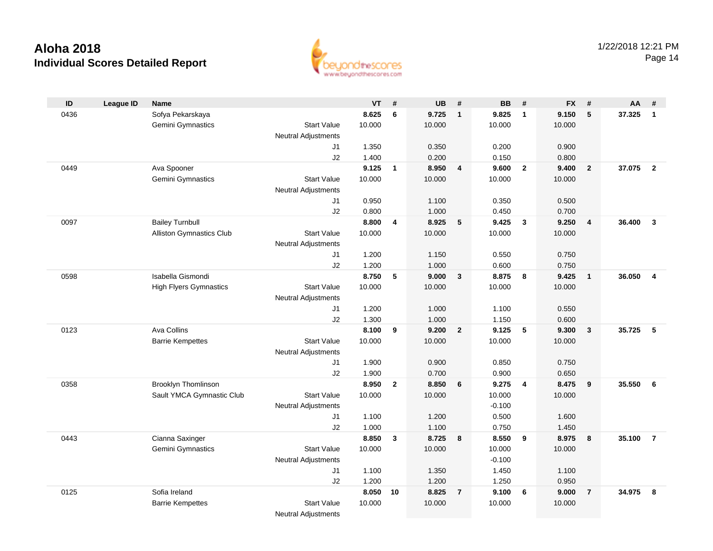

| ID   | <b>League ID</b> | <b>Name</b>                     |                            | <b>VT</b> | #              | <b>UB</b> | #              | <b>BB</b> | #                       | <b>FX</b> | #                       | AA     | #              |
|------|------------------|---------------------------------|----------------------------|-----------|----------------|-----------|----------------|-----------|-------------------------|-----------|-------------------------|--------|----------------|
| 0436 |                  | Sofya Pekarskaya                |                            | 8.625     | 6              | 9.725     | $\mathbf{1}$   | 9.825     | $\mathbf{1}$            | 9.150     | $\sqrt{5}$              | 37.325 | $\mathbf{1}$   |
|      |                  | Gemini Gymnastics               | <b>Start Value</b>         | 10.000    |                | 10.000    |                | 10.000    |                         | 10.000    |                         |        |                |
|      |                  |                                 | <b>Neutral Adjustments</b> |           |                |           |                |           |                         |           |                         |        |                |
|      |                  |                                 | J1                         | 1.350     |                | 0.350     |                | 0.200     |                         | 0.900     |                         |        |                |
|      |                  |                                 | J2                         | 1.400     |                | 0.200     |                | 0.150     |                         | 0.800     |                         |        |                |
| 0449 |                  | Ava Spooner                     |                            | 9.125     | $\mathbf{1}$   | 8.950     | $\overline{4}$ | 9.600     | $\overline{2}$          | 9.400     | $\overline{2}$          | 37.075 | $\overline{2}$ |
|      |                  | Gemini Gymnastics               | <b>Start Value</b>         | 10.000    |                | 10.000    |                | 10.000    |                         | 10.000    |                         |        |                |
|      |                  |                                 | <b>Neutral Adjustments</b> |           |                |           |                |           |                         |           |                         |        |                |
|      |                  |                                 | J1                         | 0.950     |                | 1.100     |                | 0.350     |                         | 0.500     |                         |        |                |
|      |                  |                                 | J2                         | 0.800     |                | 1.000     |                | 0.450     |                         | 0.700     |                         |        |                |
| 0097 |                  | <b>Bailey Turnbull</b>          |                            | 8.800     | 4              | 8.925     | 5              | 9.425     | $\overline{\mathbf{3}}$ | 9.250     | $\overline{4}$          | 36.400 | $\overline{3}$ |
|      |                  | <b>Alliston Gymnastics Club</b> | <b>Start Value</b>         | 10.000    |                | 10.000    |                | 10.000    |                         | 10.000    |                         |        |                |
|      |                  |                                 | Neutral Adjustments        |           |                |           |                |           |                         |           |                         |        |                |
|      |                  |                                 | J1                         | 1.200     |                | 1.150     |                | 0.550     |                         | 0.750     |                         |        |                |
|      |                  |                                 | J2                         | 1.200     |                | 1.000     |                | 0.600     |                         | 0.750     |                         |        |                |
| 0598 |                  | Isabella Gismondi               |                            | 8.750     | 5              | 9.000     | 3              | 8.875     | 8                       | 9.425     | $\overline{1}$          | 36.050 | $\overline{4}$ |
|      |                  | <b>High Flyers Gymnastics</b>   | <b>Start Value</b>         | 10.000    |                | 10.000    |                | 10.000    |                         | 10.000    |                         |        |                |
|      |                  |                                 | <b>Neutral Adjustments</b> |           |                |           |                |           |                         |           |                         |        |                |
|      |                  |                                 | J1                         | 1.200     |                | 1.000     |                | 1.100     |                         | 0.550     |                         |        |                |
|      |                  |                                 | J2                         | 1.300     |                | 1.000     |                | 1.150     |                         | 0.600     |                         |        |                |
| 0123 |                  | Ava Collins                     |                            | 8.100     | 9              | 9.200     | $\overline{2}$ | 9.125     | 5                       | 9.300     | $\overline{\mathbf{3}}$ | 35.725 | 5              |
|      |                  | <b>Barrie Kempettes</b>         | <b>Start Value</b>         | 10.000    |                | 10.000    |                | 10.000    |                         | 10.000    |                         |        |                |
|      |                  |                                 | <b>Neutral Adjustments</b> |           |                |           |                |           |                         |           |                         |        |                |
|      |                  |                                 | J1                         | 1.900     |                | 0.900     |                | 0.850     |                         | 0.750     |                         |        |                |
|      |                  |                                 | J2                         | 1.900     |                | 0.700     |                | 0.900     |                         | 0.650     |                         |        |                |
| 0358 |                  | <b>Brooklyn Thomlinson</b>      |                            | 8.950     | $\overline{2}$ | 8.850     | 6              | 9.275     | $\overline{4}$          | 8.475     | 9                       | 35.550 | - 6            |
|      |                  | Sault YMCA Gymnastic Club       | <b>Start Value</b>         | 10.000    |                | 10.000    |                | 10.000    |                         | 10.000    |                         |        |                |
|      |                  |                                 | <b>Neutral Adjustments</b> |           |                |           |                | $-0.100$  |                         |           |                         |        |                |
|      |                  |                                 | J1                         | 1.100     |                | 1.200     |                | 0.500     |                         | 1.600     |                         |        |                |
|      |                  |                                 | J2                         | 1.000     |                | 1.100     |                | 0.750     |                         | 1.450     |                         |        |                |
| 0443 |                  | Cianna Saxinger                 |                            | 8.850     | $\mathbf{3}$   | 8.725     | 8              | 8.550     | 9                       | 8.975     | 8                       | 35.100 | $\overline{7}$ |
|      |                  | Gemini Gymnastics               | <b>Start Value</b>         | 10.000    |                | 10.000    |                | 10.000    |                         | 10.000    |                         |        |                |
|      |                  |                                 | <b>Neutral Adjustments</b> |           |                |           |                | $-0.100$  |                         |           |                         |        |                |
|      |                  |                                 | J1                         | 1.100     |                | 1.350     |                | 1.450     |                         | 1.100     |                         |        |                |
|      |                  |                                 | J2                         | 1.200     |                | 1.200     |                | 1.250     |                         | 0.950     |                         |        |                |
| 0125 |                  | Sofia Ireland                   |                            | 8.050     | 10             | 8.825     | $\overline{7}$ | 9.100     | 6                       | 9.000     | $\overline{7}$          | 34.975 | 8              |
|      |                  | <b>Barrie Kempettes</b>         | <b>Start Value</b>         | 10.000    |                | 10.000    |                | 10.000    |                         | 10.000    |                         |        |                |
|      |                  |                                 | <b>Neutral Adjustments</b> |           |                |           |                |           |                         |           |                         |        |                |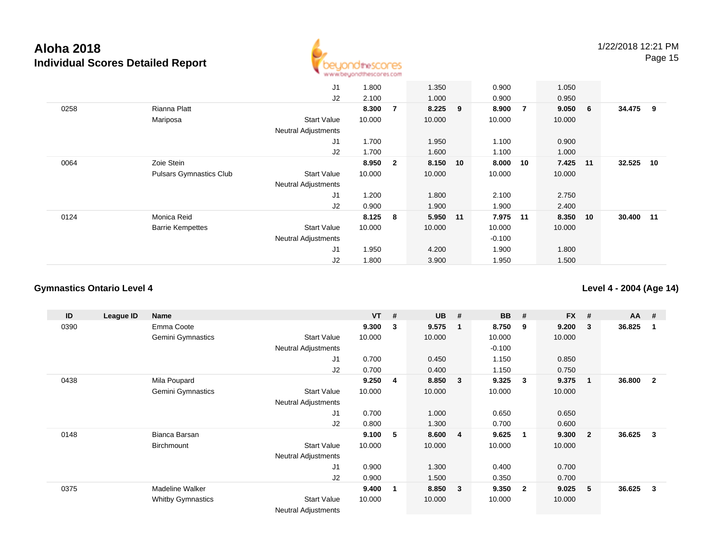

|      |                                | J1                         | 1.800  |                | 1.350     | 0.900    |    | 1.050  |       |        |     |
|------|--------------------------------|----------------------------|--------|----------------|-----------|----------|----|--------|-------|--------|-----|
|      |                                | J2                         | 2.100  |                | 1.000     | 0.900    |    | 0.950  |       |        |     |
| 0258 | Rianna Platt                   |                            | 8.300  | 7              | $8.225$ 9 | 8.900    | 7  | 9.050  | 6     | 34.475 | - 9 |
|      | Mariposa                       | <b>Start Value</b>         | 10.000 |                | 10.000    | 10.000   |    | 10.000 |       |        |     |
|      |                                | <b>Neutral Adjustments</b> |        |                |           |          |    |        |       |        |     |
|      |                                | J1                         | 1.700  |                | 1.950     | 1.100    |    | 0.900  |       |        |     |
|      |                                | J2                         | 1.700  |                | 1.600     | 1.100    |    | 1.000  |       |        |     |
| 0064 | Zoie Stein                     |                            | 8.950  | $\overline{2}$ | 8.150 10  | 8.000    | 10 | 7.425  | $-11$ | 32.525 | 10  |
|      | <b>Pulsars Gymnastics Club</b> | <b>Start Value</b>         | 10.000 |                | 10.000    | 10.000   |    | 10.000 |       |        |     |
|      |                                | <b>Neutral Adjustments</b> |        |                |           |          |    |        |       |        |     |
|      |                                | J1                         | 1.200  |                | 1.800     | 2.100    |    | 2.750  |       |        |     |
|      |                                | J2                         | 0.900  |                | 1.900     | 1.900    |    | 2.400  |       |        |     |
| 0124 | Monica Reid                    |                            | 8.125  | 8              | 5.950 11  | 7.975    | 11 | 8.350  | 10    | 30.400 | 11  |
|      | <b>Barrie Kempettes</b>        | <b>Start Value</b>         | 10.000 |                | 10.000    | 10.000   |    | 10.000 |       |        |     |
|      |                                | <b>Neutral Adjustments</b> |        |                |           | $-0.100$ |    |        |       |        |     |
|      |                                | J <sub>1</sub>             | 1.950  |                | 4.200     | 1.900    |    | 1.800  |       |        |     |
|      |                                | J2                         | 1.800  |                | 3.900     | 1.950    |    | 1.500  |       |        |     |

#### **Gymnastics Ontario Level 4**

**Level 4 - 2004 (Age 14)**

| ID   | League ID | Name                     |                            | <b>VT</b> | # | <b>UB</b> | #                       | <b>BB</b> | #                       | <b>FX</b> | #              | $AA$ # |              |
|------|-----------|--------------------------|----------------------------|-----------|---|-----------|-------------------------|-----------|-------------------------|-----------|----------------|--------|--------------|
| 0390 |           | Emma Coote               |                            | 9.300     | 3 | 9.575     | $\overline{\mathbf{1}}$ | 8.750     | 9                       | 9.200     | 3              | 36.825 | -1           |
|      |           | <b>Gemini Gymnastics</b> | <b>Start Value</b>         | 10.000    |   | 10.000    |                         | 10.000    |                         | 10.000    |                |        |              |
|      |           |                          | <b>Neutral Adjustments</b> |           |   |           |                         | $-0.100$  |                         |           |                |        |              |
|      |           |                          | J <sub>1</sub>             | 0.700     |   | 0.450     |                         | 1.150     |                         | 0.850     |                |        |              |
|      |           |                          | J2                         | 0.700     |   | 0.400     |                         | 1.150     |                         | 0.750     |                |        |              |
| 0438 |           | Mila Poupard             |                            | 9.250     | 4 | 8.850     | $\overline{\mathbf{3}}$ | 9.325     | $\mathbf{3}$            | 9.375     | 1              | 36.800 | $\mathbf{2}$ |
|      |           | <b>Gemini Gymnastics</b> | <b>Start Value</b>         | 10.000    |   | 10.000    |                         | 10.000    |                         | 10.000    |                |        |              |
|      |           |                          | <b>Neutral Adjustments</b> |           |   |           |                         |           |                         |           |                |        |              |
|      |           |                          | J1                         | 0.700     |   | 1.000     |                         | 0.650     |                         | 0.650     |                |        |              |
|      |           |                          | J2                         | 0.800     |   | 1.300     |                         | 0.700     |                         | 0.600     |                |        |              |
| 0148 |           | Bianca Barsan            |                            | 9.100     | 5 | 8.600     | $\overline{4}$          | 9.625     | $\mathbf 1$             | 9.300     | $\overline{2}$ | 36.625 | $\mathbf{3}$ |
|      |           | <b>Birchmount</b>        | <b>Start Value</b>         | 10.000    |   | 10.000    |                         | 10.000    |                         | 10.000    |                |        |              |
|      |           |                          | Neutral Adjustments        |           |   |           |                         |           |                         |           |                |        |              |
|      |           |                          | J1                         | 0.900     |   | 1.300     |                         | 0.400     |                         | 0.700     |                |        |              |
|      |           |                          | J2                         | 0.900     |   | 1.500     |                         | 0.350     |                         | 0.700     |                |        |              |
| 0375 |           | Madeline Walker          |                            | 9.400     | 1 | 8.850     | $\overline{\mathbf{3}}$ | 9.350     | $\overline{\mathbf{2}}$ | 9.025     | 5              | 36.625 | 3            |
|      |           | <b>Whitby Gymnastics</b> | <b>Start Value</b>         | 10.000    |   | 10.000    |                         | 10.000    |                         | 10.000    |                |        |              |
|      |           |                          | <b>Neutral Adjustments</b> |           |   |           |                         |           |                         |           |                |        |              |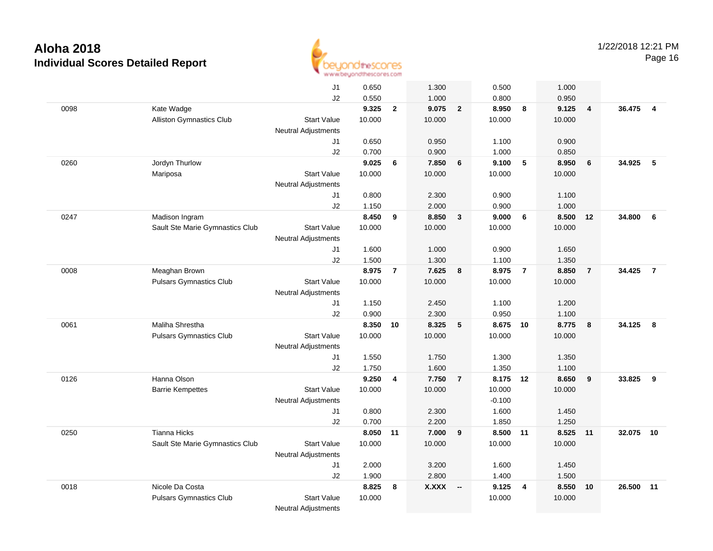

|      |                                 | J1                         | 0.650  |                | 1.300    |                 | 0.500          |                | 1.000          |                |           |                |
|------|---------------------------------|----------------------------|--------|----------------|----------|-----------------|----------------|----------------|----------------|----------------|-----------|----------------|
|      |                                 | J2                         | 0.550  |                | 1.000    |                 | 0.800          |                | 0.950          |                |           |                |
| 0098 | Kate Wadge                      |                            | 9.325  | $\overline{2}$ | 9.075    | $\overline{2}$  | 8.950          | 8              | 9.125          | $\overline{4}$ | 36.475    | $\overline{4}$ |
|      | Alliston Gymnastics Club        | <b>Start Value</b>         | 10.000 |                | 10.000   |                 | 10.000         |                | 10.000         |                |           |                |
|      |                                 | <b>Neutral Adjustments</b> |        |                |          |                 |                |                |                |                |           |                |
|      |                                 | J1                         | 0.650  |                | 0.950    |                 | 1.100          |                | 0.900          |                |           |                |
|      |                                 | J2                         | 0.700  |                | 0.900    |                 | 1.000          |                | 0.850          |                |           |                |
| 0260 | Jordyn Thurlow                  |                            | 9.025  | 6              | 7.850    | 6               | 9.100          | 5              | 8.950          | 6              | 34.925    | 5              |
|      | Mariposa                        | <b>Start Value</b>         | 10.000 |                | 10.000   |                 | 10.000         |                | 10.000         |                |           |                |
|      |                                 | <b>Neutral Adjustments</b> |        |                |          |                 |                |                |                |                |           |                |
|      |                                 | J1                         | 0.800  |                | 2.300    |                 | 0.900          |                | 1.100          |                |           |                |
|      |                                 | J2                         | 1.150  |                | 2.000    |                 | 0.900          |                | 1.000          |                |           |                |
| 0247 | Madison Ingram                  |                            | 8.450  | 9              | 8.850    | $\mathbf{3}$    | 9.000          | 6              | 8.500          | 12             | 34.800    | 6              |
|      | Sault Ste Marie Gymnastics Club | <b>Start Value</b>         | 10.000 |                | 10.000   |                 | 10.000         |                | 10.000         |                |           |                |
|      |                                 | <b>Neutral Adjustments</b> |        |                |          |                 |                |                |                |                |           |                |
|      |                                 | J1                         | 1.600  |                | 1.000    |                 | 0.900          |                | 1.650          |                |           |                |
|      |                                 | J2                         | 1.500  |                | 1.300    |                 | 1.100          |                | 1.350          |                |           |                |
| 0008 | Meaghan Brown                   |                            | 8.975  | $\overline{7}$ | 7.625    | 8               | 8.975          | $\overline{7}$ | 8.850          | $\overline{7}$ | 34.425    | $\overline{7}$ |
|      | <b>Pulsars Gymnastics Club</b>  | <b>Start Value</b>         | 10.000 |                | 10.000   |                 | 10.000         |                | 10.000         |                |           |                |
|      |                                 | <b>Neutral Adjustments</b> |        |                |          |                 |                |                |                |                |           |                |
|      |                                 | J1                         | 1.150  |                | 2.450    |                 | 1.100          |                | 1.200          |                |           |                |
|      |                                 | J2                         | 0.900  |                | 2.300    |                 | 0.950          |                | 1.100          |                |           |                |
| 0061 | Maliha Shrestha                 |                            | 8.350  | 10             | 8.325    | $5\phantom{.0}$ | 8.675          | 10             | 8.775          | 8              | 34.125    | 8              |
|      | <b>Pulsars Gymnastics Club</b>  | <b>Start Value</b>         | 10.000 |                | 10.000   |                 | 10.000         |                | 10.000         |                |           |                |
|      |                                 | <b>Neutral Adjustments</b> | 1.550  |                | 1.750    |                 |                |                |                |                |           |                |
|      |                                 | J1<br>J2                   | 1.750  |                | 1.600    |                 | 1.300<br>1.350 |                | 1.350<br>1.100 |                |           |                |
| 0126 | Hanna Olson                     |                            | 9.250  | 4              | 7.750    | $\overline{7}$  | 8.175 12       |                | 8.650          | 9              | 33.825    | 9              |
|      | <b>Barrie Kempettes</b>         | <b>Start Value</b>         | 10.000 |                | 10.000   |                 | 10.000         |                | 10.000         |                |           |                |
|      |                                 | <b>Neutral Adjustments</b> |        |                |          |                 | $-0.100$       |                |                |                |           |                |
|      |                                 | J1                         | 0.800  |                | 2.300    |                 | 1.600          |                | 1.450          |                |           |                |
|      |                                 | J2                         | 0.700  |                | 2.200    |                 | 1.850          |                | 1.250          |                |           |                |
| 0250 | <b>Tianna Hicks</b>             |                            | 8.050  | 11             | 7.000    | 9               | 8.500          | 11             | 8.525          | 11             | 32.075 10 |                |
|      | Sault Ste Marie Gymnastics Club | <b>Start Value</b>         | 10.000 |                | 10.000   |                 | 10.000         |                | 10.000         |                |           |                |
|      |                                 | <b>Neutral Adjustments</b> |        |                |          |                 |                |                |                |                |           |                |
|      |                                 | J1                         | 2.000  |                | 3.200    |                 | 1.600          |                | 1.450          |                |           |                |
|      |                                 | J2                         | 1.900  |                | 2.800    |                 | 1.400          |                | 1.500          |                |           |                |
| 0018 | Nicole Da Costa                 |                            | 8.825  | 8              | X.XXX -- |                 | 9.125          | $\overline{4}$ | 8.550          | 10             | 26.500    | 11             |
|      | <b>Pulsars Gymnastics Club</b>  | <b>Start Value</b>         | 10.000 |                |          |                 | 10.000         |                | 10.000         |                |           |                |
|      |                                 | <b>Neutral Adjustments</b> |        |                |          |                 |                |                |                |                |           |                |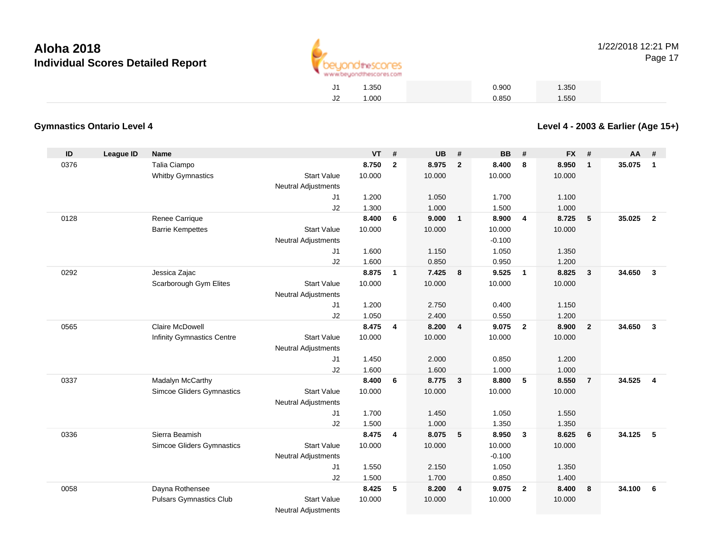

| J1 | 1.350 | 0.900 | 1.350 |  |
|----|-------|-------|-------|--|
| J2 | 1.000 | 0.850 | 1.550 |  |

#### **Gymnastics Ontario Level 4**

**Level 4 - 2003 & Earlier (Age 15+)**

| ID   | <b>League ID</b> | <b>Name</b>                       |                            | VT     | #              | <b>UB</b> | #                       | <b>BB</b> | #                       | <b>FX</b> | #              | AA     | #              |
|------|------------------|-----------------------------------|----------------------------|--------|----------------|-----------|-------------------------|-----------|-------------------------|-----------|----------------|--------|----------------|
| 0376 |                  | Talia Ciampo                      |                            | 8.750  | $\mathbf{2}$   | 8.975     | $\overline{2}$          | 8.400     | 8                       | 8.950     | $\mathbf{1}$   | 35.075 | $\mathbf{1}$   |
|      |                  | <b>Whitby Gymnastics</b>          | <b>Start Value</b>         | 10.000 |                | 10.000    |                         | 10.000    |                         | 10.000    |                |        |                |
|      |                  |                                   | <b>Neutral Adjustments</b> |        |                |           |                         |           |                         |           |                |        |                |
|      |                  |                                   | J1                         | 1.200  |                | 1.050     |                         | 1.700     |                         | 1.100     |                |        |                |
|      |                  |                                   | J2                         | 1.300  |                | 1.000     |                         | 1.500     |                         | 1.000     |                |        |                |
| 0128 |                  | Renee Carrique                    |                            | 8.400  | 6              | 9.000     | $\overline{1}$          | 8.900     | $\overline{4}$          | 8.725     | 5              | 35.025 | $\overline{2}$ |
|      |                  | <b>Barrie Kempettes</b>           | <b>Start Value</b>         | 10.000 |                | 10.000    |                         | 10.000    |                         | 10.000    |                |        |                |
|      |                  |                                   | <b>Neutral Adjustments</b> |        |                |           |                         | $-0.100$  |                         |           |                |        |                |
|      |                  |                                   | J1                         | 1.600  |                | 1.150     |                         | 1.050     |                         | 1.350     |                |        |                |
|      |                  |                                   | J2                         | 1.600  |                | 0.850     |                         | 0.950     |                         | 1.200     |                |        |                |
| 0292 |                  | Jessica Zajac                     |                            | 8.875  | $\mathbf{1}$   | 7.425     | 8                       | 9.525     | $\overline{\mathbf{1}}$ | 8.825     | $\mathbf{3}$   | 34.650 | $\mathbf{3}$   |
|      |                  | Scarborough Gym Elites            | <b>Start Value</b>         | 10.000 |                | 10.000    |                         | 10.000    |                         | 10.000    |                |        |                |
|      |                  |                                   | <b>Neutral Adjustments</b> |        |                |           |                         |           |                         |           |                |        |                |
|      |                  |                                   | J1                         | 1.200  |                | 2.750     |                         | 0.400     |                         | 1.150     |                |        |                |
|      |                  |                                   | J <sub>2</sub>             | 1.050  |                | 2.400     |                         | 0.550     |                         | 1.200     |                |        |                |
| 0565 |                  | Claire McDowell                   |                            | 8.475  | 4              | 8.200     | $\overline{4}$          | 9.075     | $\overline{\mathbf{2}}$ | 8.900     | $\overline{2}$ | 34.650 | $\mathbf{3}$   |
|      |                  | <b>Infinity Gymnastics Centre</b> | <b>Start Value</b>         | 10.000 |                | 10.000    |                         | 10.000    |                         | 10.000    |                |        |                |
|      |                  |                                   | <b>Neutral Adjustments</b> |        |                |           |                         |           |                         |           |                |        |                |
|      |                  |                                   | J1                         | 1.450  |                | 2.000     |                         | 0.850     |                         | 1.200     |                |        |                |
|      |                  |                                   | J2                         | 1.600  |                | 1.600     |                         | 1.000     |                         | 1.000     |                |        |                |
| 0337 |                  | Madalyn McCarthy                  |                            | 8.400  | 6              | 8.775     | $\overline{\mathbf{3}}$ | 8.800     | 5                       | 8.550     | $\overline{7}$ | 34.525 | $\overline{4}$ |
|      |                  | <b>Simcoe Gliders Gymnastics</b>  | <b>Start Value</b>         | 10.000 |                | 10.000    |                         | 10.000    |                         | 10.000    |                |        |                |
|      |                  |                                   | <b>Neutral Adjustments</b> |        |                |           |                         |           |                         |           |                |        |                |
|      |                  |                                   | J1                         | 1.700  |                | 1.450     |                         | 1.050     |                         | 1.550     |                |        |                |
|      |                  |                                   | J2                         | 1.500  |                | 1.000     |                         | 1.350     |                         | 1.350     |                |        |                |
| 0336 |                  | Sierra Beamish                    |                            | 8.475  | $\overline{4}$ | 8.075     | $-5$                    | 8.950     | $\overline{\mathbf{3}}$ | 8.625     | 6              | 34.125 | 5              |
|      |                  | Simcoe Gliders Gymnastics         | <b>Start Value</b>         | 10.000 |                | 10.000    |                         | 10.000    |                         | 10.000    |                |        |                |
|      |                  |                                   | <b>Neutral Adjustments</b> |        |                |           |                         | $-0.100$  |                         |           |                |        |                |
|      |                  |                                   | J1                         | 1.550  |                | 2.150     |                         | 1.050     |                         | 1.350     |                |        |                |
|      |                  |                                   | J2                         | 1.500  |                | 1.700     |                         | 0.850     |                         | 1.400     |                |        |                |
| 0058 |                  | Dayna Rothensee                   |                            | 8.425  | 5              | 8.200     | $\overline{\mathbf{4}}$ | 9.075     | $\overline{2}$          | 8.400     | 8              | 34.100 | 6              |
|      |                  | <b>Pulsars Gymnastics Club</b>    | <b>Start Value</b>         | 10.000 |                | 10.000    |                         | 10.000    |                         | 10.000    |                |        |                |
|      |                  |                                   | <b>Neutral Adjustments</b> |        |                |           |                         |           |                         |           |                |        |                |